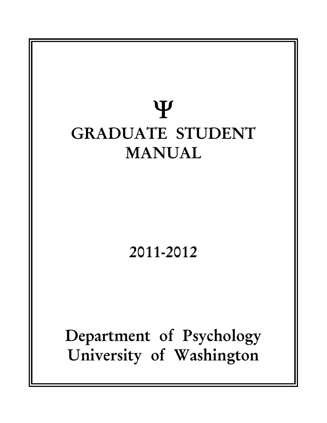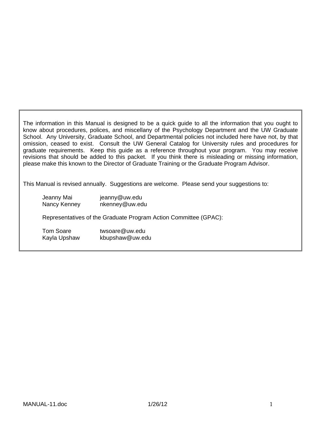The information in this Manual is designed to be a quick guide to all the information that you ought to know about procedures, polices, and miscellany of the Psychology Department and the UW Graduate School. Any University, Graduate School, and Departmental policies not included here have not, by that omission, ceased to exist. Consult the UW General Catalog for University rules and procedures for graduate requirements. Keep this guide as a reference throughout your program. You may receive revisions that should be added to this packet. If you think there is misleading or missing information, please make this known to the Director of Graduate Training or the Graduate Program Advisor.

This Manual is revised annually. Suggestions are welcome. Please send your suggestions to:

| Jeanny Mai   | jeanny@uw.edu  |  |  |
|--------------|----------------|--|--|
| Nancy Kenney | nkenney@uw.edu |  |  |

Representatives of the Graduate Program Action Committee (GPAC):

Tom Soare twsoare@uw.edu Kayla Upshaw kbupshaw@uw.edu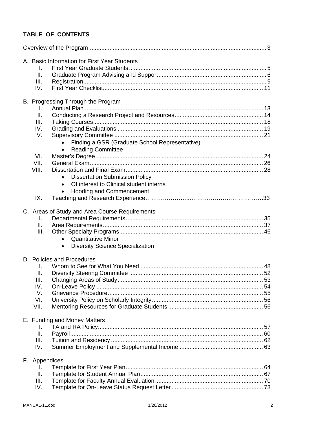# **TABLE OF CONTENTS**

|  | Τ.             | A. Basic Information for First Year Students         |  |
|--|----------------|------------------------------------------------------|--|
|  | Ш.             |                                                      |  |
|  | III.           |                                                      |  |
|  | IV.            |                                                      |  |
|  |                | B. Progressing Through the Program                   |  |
|  | I.             |                                                      |  |
|  | Ш.             |                                                      |  |
|  | III.           |                                                      |  |
|  | IV.            |                                                      |  |
|  | V.             |                                                      |  |
|  |                | Finding a GSR (Graduate School Representative)       |  |
|  |                | <b>Reading Committee</b>                             |  |
|  | VI.            |                                                      |  |
|  | VII.           |                                                      |  |
|  | VIII.          |                                                      |  |
|  |                | <b>Dissertation Submission Policy</b><br>$\bullet$   |  |
|  |                | Of interest to Clinical student interns<br>$\bullet$ |  |
|  |                | <b>Hooding and Commencement</b><br>$\bullet$         |  |
|  | IX.            |                                                      |  |
|  |                | C. Areas of Study and Area Course Requirements       |  |
|  | Τ.             |                                                      |  |
|  | ΙΙ.            |                                                      |  |
|  | III.           |                                                      |  |
|  |                | • Quantitative Minor                                 |  |
|  |                | <b>Diversity Science Specialization</b><br>$\bullet$ |  |
|  |                | D. Policies and Procedures                           |  |
|  | $\mathbf{I}$ . |                                                      |  |
|  | Ш.             |                                                      |  |
|  | III.           |                                                      |  |
|  | IV.            |                                                      |  |
|  | V.             |                                                      |  |
|  | VI.            |                                                      |  |
|  | VII.           |                                                      |  |
|  |                | E. Funding and Money Matters                         |  |
|  | I.             |                                                      |  |
|  | II.            |                                                      |  |
|  | III.           |                                                      |  |
|  | IV.            |                                                      |  |
|  | F. Appendices  |                                                      |  |
|  | L.             |                                                      |  |
|  | Ш.             |                                                      |  |
|  | III.           |                                                      |  |
|  | IV.            |                                                      |  |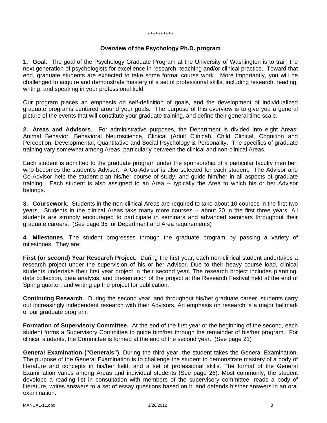#### \*\*\*\*\*\*\*\*\*\*

#### **Overview of the Psychology Ph.D. program**

**1. Goal**. The goal of the Psychology Graduate Program at the University of Washington is to train the next generation of psychologists for excellence in research, teaching and/or clinical practice. Toward that end, graduate students are expected to take some formal course work. More importantly, you will be challenged to acquire and demonstrate mastery of a set of professional skills, including research, reading, writing, and speaking in your professional field.

Our program places an emphasis on self-definition of goals, and the development of individualized graduate programs centered around your goals. The purpose of this overview is to give you a general picture of the events that will constitute your graduate training, and define their general time scale.

**2. Areas and Advisors**. For administrative purposes, the Department is divided into eight Areas: Animal Behavior, Behavioral Neuroscience, Clinical (Adult Clinical), Child Clinical, Cognition and Perception, Developmental, Quantitative and Social Psychology & Personality. The specifics of graduate training vary somewhat among Areas, particularly between the clinical and non-clinical Areas.

Each student is admitted to the graduate program under the sponsorship of a particular faculty member, who becomes the student's Advisor. A Co-Advisor is also selected for each student. The Advisor and Co-Advisor help the student plan his/her course of study, and guide him/her in all aspects of graduate training. Each student is also assigned to an Area -- typically the Area to which his or her Advisor belongs.

**3. Coursework**. Students in the non-clinical Areas are required to take about 10 courses in the first two years. Students in the clinical Areas take many more courses -- about 20 in the first three years. All students are strongly encouraged to participate in seminars and advanced seminars throughout their graduate careers. (See page 35 for Department and Area requirements)

**4. Milestones**. The student progresses through the graduate program by passing a variety of milestones. They are:

**First (or second) Year Research Project**. During the first year, each non-clinical student undertakes a research project under the supervision of his or her Advisor. Due to their heavy course load, clinical students undertake their first year project in their second year. The research project includes planning, data collection, data analysis, and presentation of the project at the Research Festival held at the end of Spring quarter, and writing up the project for publication.

**Continuing Research**. During the second year, and throughout his/her graduate career, students carry out increasingly independent research with their Advisors. An emphasis on research is a major hallmark of our graduate program.

**Formation of Supervisory Committee**. At the end of the first year or the beginning of the second, each student forms a Supervisory Committee to guide him/her through the remainder of his/her program. For clinical students, the Committee is formed at the end of the second year. (See page 21)

**General Examination ("Generals")**. During the third year, the student takes the General Examination. The purpose of the General Examination is to challenge the student to demonstrate mastery of a body of literature and concepts in his/her field, and a set of professional skills. The format of the General Examination varies among Areas and individual students (See page 26). Most commonly, the student develops a reading list in consultation with members of the supervisory committee, reads a body of literature, writes answers to a set of essay questions based on it, and defends his/her answers in an oral examination.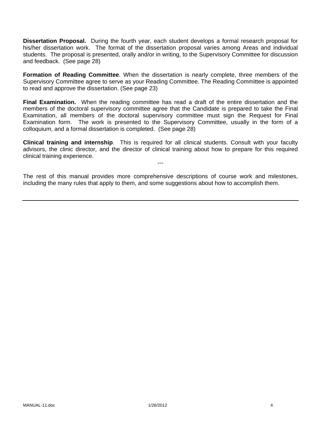**Dissertation Proposal.** During the fourth year, each student develops a formal research proposal for his/her dissertation work. The format of the dissertation proposal varies among Areas and individual students. The proposal is presented, orally and/or in writing, to the Supervisory Committee for discussion and feedback. (See page 28)

**Formation of Reading Committee**. When the dissertation is nearly complete, three members of the Supervisory Committee agree to serve as your Reading Committee. The Reading Committee is appointed to read and approve the dissertation. (See page 23)

**Final Examination.** When the reading committee has read a draft of the entire dissertation and the members of the doctoral supervisory committee agree that the Candidate is prepared to take the Final Examination, all members of the doctoral supervisory committee must sign the Request for Final Examination form. The work is presented to the Supervisory Committee, usually in the form of a colloquium, and a formal dissertation is completed. (See page 28)

**Clinical training and internship**. This is required for all clinical students. Consult with your faculty advisors, the clinic director, and the director of clinical training about how to prepare for this required clinical training experience.

---

The rest of this manual provides more comprehensive descriptions of course work and milestones, including the many rules that apply to them, and some suggestions about how to accomplish them.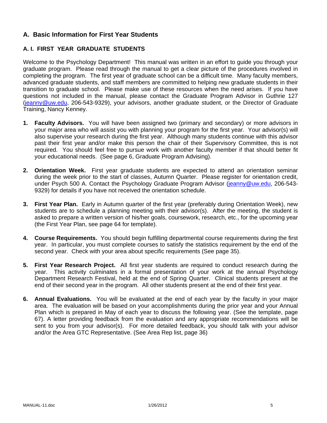# **A. Basic Information for First Year Students**

# **A. I. FIRST YEAR GRADUATE STUDENTS**

Welcome to the Psychology Department! This manual was written in an effort to guide you through your graduate program. Please read through the manual to get a clear picture of the procedures involved in completing the program. The first year of graduate school can be a difficult time. Many faculty members, advanced graduate students, and staff members are committed to helping new graduate students in their transition to graduate school. Please make use of these resources when the need arises. If you have questions not included in the manual, please contact the Graduate Program Advisor in Guthrie 127 (jeanny@uw.edu, 206-543-9329), your advisors, another graduate student, or the Director of Graduate Training, Nancy Kenney.

- **1. Faculty Advisors.** You will have been assigned two (primary and secondary) or more advisors in your major area who will assist you with planning your program for the first year. Your advisor(s) will also supervise your research during the first year. Although many students continue with this advisor past their first year and/or make this person the chair of their Supervisory Committee, this is not required. You should feel free to pursue work with another faculty member if that should better fit your educational needs. (See page 6, Graduate Program Advising).
- **2. Orientation Week.** First year graduate students are expected to attend an orientation seminar during the week prior to the start of classes, Autumn Quarter. Please register for orientation credit, under Psych 500 A. Contact the Psychology Graduate Program Advisor (jeanny@uw.edu, 206-543-9329) for details if you have not received the orientation schedule.
- **3. First Year Plan.** Early in Autumn quarter of the first year (preferably during Orientation Week), new students are to schedule a planning meeting with their advisor(s). After the meeting, the student is asked to prepare a written version of his/her goals, coursework, research, etc., for the upcoming year (the First Year Plan, see page 64 for template).
- **4. Course Requirements.** You should begin fulfilling departmental course requirements during the first year. In particular, you must complete courses to satisfy the statistics requirement by the end of the second year. Check with your area about specific requirements (See page 35).
- **5. First Year Research Project.** All first year students are required to conduct research during the year. This activity culminates in a formal presentation of your work at the annual Psychology Department Research Festival, held at the end of Spring Quarter. Clinical students present at the end of their second year in the program. All other students present at the end of their first year.
- **6. Annual Evaluations.** You will be evaluated at the end of each year by the faculty in your major area. The evaluation will be based on your accomplishments during the prior year and your Annual Plan which is prepared in May of each year to discuss the following year. (See the template, page 67). A letter providing feedback from the evaluation and any appropriate recommendations will be sent to you from your advisor(s). For more detailed feedback, you should talk with your advisor and/or the Area GTC Representative. (See Area Rep list, page 36)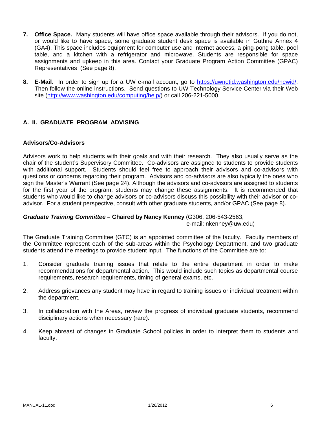- **7. Office Space.** Many students will have office space available through their advisors. If you do not, or would like to have space, some graduate student desk space is available in Guthrie Annex 4 (GA4). This space includes equipment for computer use and internet access, a ping-pong table, pool table, and a kitchen with a refrigerator and microwave. Students are responsible for space assignments and upkeep in this area. Contact your Graduate Program Action Committee (GPAC) Representatives (See page 8).
- **8. E-Mail.** In order to sign up for a UW e-mail account, go to https://uwnetid.washington.edu/newid/. Then follow the online instructions. Send questions to UW Technology Service Center via their Web site (http://www.washington.edu/computing/help/) or call 206-221-5000.

# **A. II. GRADUATE PROGRAM ADVISING**

### **Advisors/Co-Advisors**

Advisors work to help students with their goals and with their research. They also usually serve as the chair of the student's Supervisory Committee. Co-advisors are assigned to students to provide students with additional support. Students should feel free to approach their advisors and co-advisors with questions or concerns regarding their program. Advisors and co-advisors are also typically the ones who sign the Master's Warrant (See page 24). Although the advisors and co-advisors are assigned to students for the first year of the program, students may change these assignments. It is recommended that students who would like to change advisors or co-advisors discuss this possibility with their advisor or coadvisor. For a student perspective, consult with other graduate students, and/or GPAC (See page 8).

# *Graduate Training Committee –* **Chaired by Nancy Kenney** (G306, 206-543-2563,

e-mail: nkenney@uw.edu)

The Graduate Training Committee (GTC) is an appointed committee of the faculty. Faculty members of the Committee represent each of the sub-areas within the Psychology Department, and two graduate students attend the meetings to provide student input. The functions of the Committee are to:

- 1. Consider graduate training issues that relate to the entire department in order to make recommendations for departmental action. This would include such topics as departmental course requirements, research requirements, timing of general exams, etc.
- 2. Address grievances any student may have in regard to training issues or individual treatment within the department.
- 3. In collaboration with the Areas, review the progress of individual graduate students, recommend disciplinary actions when necessary (rare).
- 4. Keep abreast of changes in Graduate School policies in order to interpret them to students and faculty.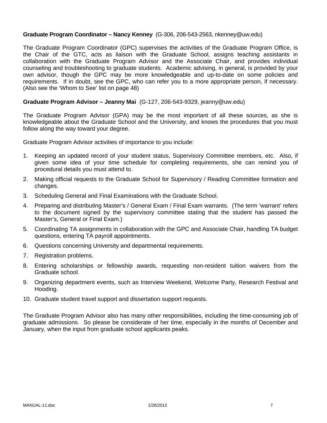### **Graduate Program Coordinator – Nancy Kenney** (G-306, 206-543-2563, nkenney@uw.edu)

The Graduate Program Coordinator (GPC) supervises the activities of the Graduate Program Office, is the Chair of the GTC, acts as liaison with the Graduate School, assigns teaching assistants in collaboration with the Graduate Program Advisor and the Associate Chair, and provides individual counseling and troubleshooting to graduate students. Academic advising, in general, is provided by your own advisor, though the GPC may be more knowledgeable and up-to-date on some policies and requirements. If in doubt, see the GPC, who can refer you to a more appropriate person, if necessary. (Also see the 'Whom to See' list on page 48)

#### **Graduate Program Advisor – Jeanny Mai** (G-127, 206-543-9329, jeanny@uw.edu)

The Graduate Program Advisor (GPA) may be the most important of all these sources, as she is knowledgeable about the Graduate School and the University, and knows the procedures that you must follow along the way toward your degree.

Graduate Program Advisor activities of importance to you include:

- 1. Keeping an updated record of your student status, Supervisory Committee members, etc. Also, if given some idea of your time schedule for completing requirements, she can remind you of procedural details you must attend to.
- 2. Making official requests to the Graduate School for Supervisory / Reading Committee formation and changes.
- 3. Scheduling General and Final Examinations with the Graduate School.
- 4. Preparing and distributing Master's / General Exam / Final Exam warrants. (The term 'warrant' refers to the document signed by the supervisory committee stating that the student has passed the Master's, General or Final Exam.)
- 5. Coordinating TA assignments in collaboration with the GPC and Associate Chair, handling TA budget questions, entering TA payroll appointments.
- 6. Questions concerning University and departmental requirements.
- 7. Registration problems.
- 8. Entering scholarships or fellowship awards, requesting non-resident tuition waivers from the Graduate school.
- 9. Organizing department events, such as Interview Weekend, Welcome Party, Research Festival and Hooding.
- 10. Graduate student travel support and dissertation support requests.

The Graduate Program Advisor also has many other responsibilities, including the time-consuming job of graduate admissions. So please be considerate of her time, especially in the months of December and January, when the input from graduate school applicants peaks.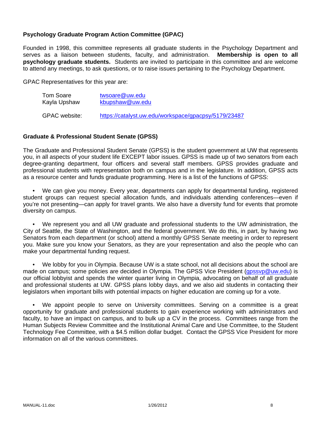# **Psychology Graduate Program Action Committee (GPAC)**

Founded in 1998, this committee represents all graduate students in the Psychology Department and serves as a liaison between students, faculty, and administration. **Membership is open to all psychology graduate students.** Students are invited to participate in this committee and are welcome to attend any meetings, to ask questions, or to raise issues pertaining to the Psychology Department.

GPAC Representatives for this year are:

| Tom Soare     | twsoare@uw.edu                                       |
|---------------|------------------------------------------------------|
| Kayla Upshaw  | kbupshaw@uw.edu                                      |
| GPAC website: | https://catalyst.uw.edu/workspace/gpacpsy/5179/23487 |

#### **Graduate & Professional Student Senate (GPSS)**

The Graduate and Professional Student Senate (GPSS) is the student government at UW that represents you, in all aspects of your student life EXCEPT labor issues. GPSS is made up of two senators from each degree-granting department, four officers and several staff members. GPSS provides graduate and professional students with representation both on campus and in the legislature. In addition, GPSS acts as a resource center and funds graduate programming. Here is a list of the functions of GPSS:

 • We can give you money. Every year, departments can apply for departmental funding, registered student groups can request special allocation funds, and individuals attending conferences—even if you're not presenting—can apply for travel grants. We also have a diversity fund for events that promote diversity on campus.

 • We represent you and all UW graduate and professional students to the UW administration, the City of Seattle, the State of Washington, and the federal government. We do this, in part, by having two Senators from each department (or school) attend a monthly GPSS Senate meeting in order to represent you. Make sure you know your Senators, as they are your representation and also the people who can make your departmental funding request.

 • We lobby for you in Olympia. Because UW is a state school, not all decisions about the school are made on campus; some policies are decided in Olympia. The GPSS Vice President (gpssyp@uw.edu) is our official lobbyist and spends the winter quarter living in Olympia, advocating on behalf of all graduate and professional students at UW. GPSS plans lobby days, and we also aid students in contacting their legislators when important bills with potential impacts on higher education are coming up for a vote.

We appoint people to serve on University committees. Serving on a committee is a great opportunity for graduate and professional students to gain experience working with administrators and faculty, to have an impact on campus, and to bulk up a CV in the process. Committees range from the Human Subjects Review Committee and the Institutional Animal Care and Use Committee, to the Student Technology Fee Committee, with a \$4.5 million dollar budget. Contact the GPSS Vice President for more information on all of the various committees.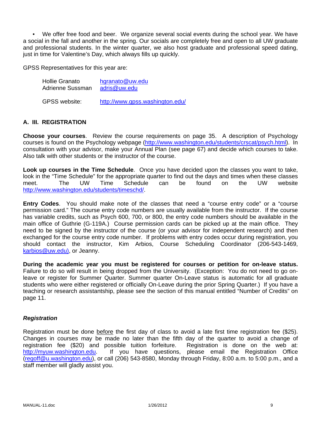• We offer free food and beer. We organize several social events during the school year. We have a social in the fall and another in the spring. Our socials are completely free and open to all UW graduate and professional students. In the winter quarter, we also host graduate and professional speed dating, just in time for Valentine's Day, which always fills up quickly.

GPSS Representatives for this year are:

| <b>Hollie Granato</b> | hgranato@uw.edu                 |  |  |
|-----------------------|---------------------------------|--|--|
| Adrienne Sussman      | adris@uw.edu                    |  |  |
| <b>GPSS</b> website:  | http://www.gpss.washington.edu/ |  |  |

# **A. III. REGISTRATION**

**Choose your courses**. Review the course requirements on page 35. A description of Psychology courses is found on the Psychology webpage (http://www.washington.edu/students/crscat/psych.html). In consultation with your advisor, make your Annual Plan (see page 67) and decide which courses to take. Also talk with other students or the instructor of the course.

**Look up courses in the Time Schedule**. Once you have decided upon the classes you want to take, look in the "Time Schedule" for the appropriate quarter to find out the days and times when these classes meet. The UW Time Schedule can be found on the UW website http://www.washington.edu/students/timeschd/.

**Entry Codes**. You should make note of the classes that need a "course entry code" or a "course permission card." The course entry code numbers are usually available from the instructor. If the course has variable credits, such as Psych 600, 700, or 800, the entry code numbers should be available in the main office of Guthrie (G-119A.) Course permission cards can be picked up at the main office. They need to be signed by the instructor of the course (or your advisor for independent research) and then exchanged for the course entry code number. If problems with entry codes occur during registration, you should contact the instructor, Kim Arbios, Course Scheduling Coordinator (206-543-1469, karbios@uw.edu), or Jeanny.

**During the academic year you must be registered for courses or petition for on-leave status.**  Failure to do so will result in being dropped from the University. (Exception: You do not need to go onleave or register for Summer Quarter. Summer quarter On-Leave status is automatic for all graduate students who were either registered or officially On-Leave during the prior Spring Quarter.) If you have a teaching or research assistantship, please see the section of this manual entitled "Number of Credits" on page 11.

#### *Registration*

Registration must be done before the first day of class to avoid a late first time registration fee (\$25). Changes in courses may be made no later than the fifth day of the quarter to avoid a change of registration fee (\$20) and possible tuition forfeiture. Registration is done on the web at: http://myuw.washington.edu. If you have questions, please email the Registration Office (regoff@u.washington.edu), or call (206) 543-8580, Monday through Friday, 8:00 a.m. to 5:00 p.m., and a staff member will gladly assist you.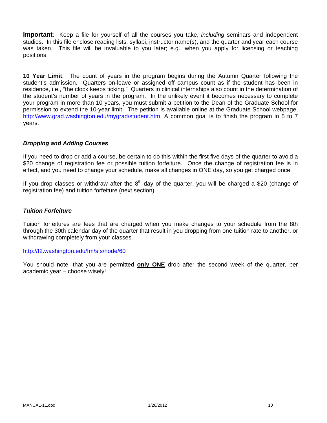**Important**: Keep a file for yourself of all the courses you take, *including* seminars and independent studies. In this file enclose reading lists, syllabi, instructor name(s), and the quarter and year each course was taken. This file will be invaluable to you later; e.g., when you apply for licensing or teaching positions.

**10 Year Limit**: The count of years in the program begins during the Autumn Quarter following the student's admission. Quarters on-leave or assigned off campus count as if the student has been in residence, i.e., "the clock keeps ticking." Quarters in clinical internships also count in the determination of the student's number of years in the program. In the unlikely event it becomes necessary to complete your program in more than 10 years, you must submit a petition to the Dean of the Graduate School for permission to extend the 10-year limit. The petition is available online at the Graduate School webpage, http://www.grad.washington.edu/mygrad/student.htm. A common goal is to finish the program in 5 to 7 years.

### *Dropping and Adding Courses*

If you need to drop or add a course, be certain to do this within the first five days of the quarter to avoid a \$20 change of registration fee or possible tuition forfeiture. Once the change of registration fee is in effect, and you need to change your schedule, make all changes in ONE day, so you get charged once.

If you drop classes or withdraw after the  $8<sup>th</sup>$  day of the quarter, you will be charged a \$20 (change of registration fee) and tuition forfeiture (next section).

#### *Tuition Forfeiture*

Tuition forfeitures are fees that are charged when you make changes to your schedule from the 8th through the 30th calendar day of the quarter that result in you dropping from one tuition rate to another, or withdrawing completely from your classes.

#### http://f2.washington.edu/fm/sfs/node/60

You should note, that you are permitted **only ONE** drop after the second week of the quarter, per academic year – choose wisely!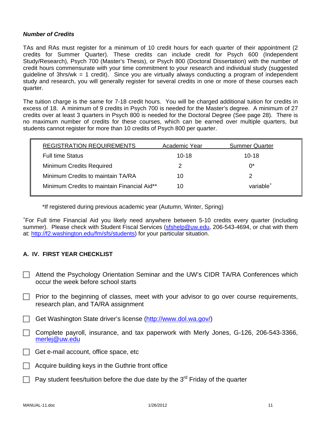#### *Number of Credits*

TAs and RAs must register for a minimum of 10 credit hours for each quarter of their appointment (2 credits for Summer Quarter). These credits can include credit for Psych 600 (Independent Study/Research), Psych 700 (Master's Thesis), or Psych 800 (Doctoral Dissertation) with the number of credit hours commensurate with your time commitment to your research and individual study (suggested guideline of 3hrs/wk = 1 credit). Since you are virtually always conducting a program of independent study and research, you will generally register for several credits in one or more of these courses each quarter.

The tuition charge is the same for 7-18 credit hours. You will be charged additional tuition for credits in excess of 18. A minimum of 9 credits in Psych 700 is needed for the Master's degree. A minimum of 27 credits over at least 3 quarters in Psych 800 is needed for the Doctoral Degree (See page 28). There is no maximum number of credits for these courses, which can be earned over multiple quarters, but students cannot register for more than 10 credits of Psych 800 per quarter.

| <b>REGISTRATION REQUIREMENTS</b>            | Academic Year | <b>Summer Quarter</b> |
|---------------------------------------------|---------------|-----------------------|
| <b>Full time Status</b>                     | $10 - 18$     | $10 - 18$             |
| <b>Minimum Credits Required</b>             | 2             | $0^*$                 |
| Minimum Credits to maintain TA/RA           | 10            |                       |
| Minimum Credits to maintain Financial Aid** | 10            | variable <sup>+</sup> |

\*If registered during previous academic year (Autumn, Winter, Spring)

+ For Full time Financial Aid you likely need anywhere between 5-10 credits every quarter (including summer). Please check with Student Fiscal Services (sfshelp@uw.edu, 206-543-4694, or chat with them at: http://f2.washington.edu/fm/sfs/students) for your particular situation.

# **A. IV. FIRST YEAR CHECKLIST**

- Attend the Psychology Orientation Seminar and the UW's CIDR TA/RA Conferences which occur the week before school starts
- $\Box$  Prior to the beginning of classes, meet with your advisor to go over course requirements, research plan, and TA/RA assignment
- Get Washington State driver's license (http://www.dol.wa.gov/)
- $\Box$  Complete payroll, insurance, and tax paperwork with Merly Jones, G-126, 206-543-3366, merlej@uw.edu
- $\Box$  Get e-mail account, office space, etc
- Acquire building keys in the Guthrie front office
- Pay student fees/tuition before the due date by the  $3<sup>rd</sup>$  Friday of the quarter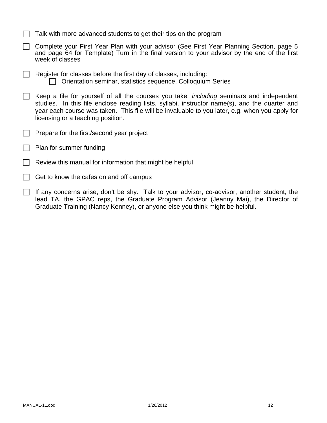| $\Box$ Talk with more advanced students to get their tips on the program |  |  |  |
|--------------------------------------------------------------------------|--|--|--|
|                                                                          |  |  |  |

- ◯ Complete your First Year Plan with your advisor (See First Year Planning Section, page 5 and page 64 for Template) Turn in the final version to your advisor by the end of the first week of classes
- $\Box$  Register for classes before the first day of classes, including:  $\Box$  Orientation seminar, statistics sequence, Colloquium Series
- $\Box$  Keep a file for yourself of all the courses you take, *including* seminars and independent studies. In this file enclose reading lists, syllabi, instructor name(s), and the quarter and year each course was taken. This file will be invaluable to you later, e.g. when you apply for licensing or a teaching position.
- Prepare for the first/second year project
- $\Box$  Plan for summer funding
- Review this manual for information that might be helpful
- $\Box$  Get to know the cafes on and off campus
- $\Box$  If any concerns arise, don't be shy. Talk to your advisor, co-advisor, another student, the lead TA, the GPAC reps, the Graduate Program Advisor (Jeanny Mai), the Director of Graduate Training (Nancy Kenney), or anyone else you think might be helpful.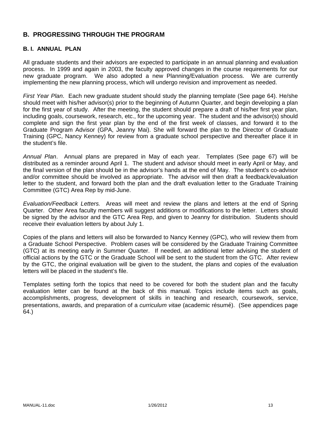# **B. PROGRESSING THROUGH THE PROGRAM**

### **B. I. ANNUAL PLAN**

All graduate students and their advisors are expected to participate in an annual planning and evaluation process. In 1999 and again in 2003, the faculty approved changes in the course requirements for our new graduate program. We also adopted a new Planning/Evaluation process. We are currently implementing the new planning process, which will undergo revision and improvement as needed.

*First Year Plan*. Each new graduate student should study the planning template (See page 64). He/she should meet with his/her advisor(s) prior to the beginning of Autumn Quarter, and begin developing a plan for the first year of study. After the meeting, the student should prepare a draft of his/her first year plan, including goals, coursework, research, etc., for the upcoming year. The student and the advisor(s) should complete and sign the first year plan by the end of the first week of classes, and forward it to the Graduate Program Advisor (GPA, Jeanny Mai). She will forward the plan to the Director of Graduate Training (GPC, Nancy Kenney) for review from a graduate school perspective and thereafter place it in the student's file.

*Annual Plan*. Annual plans are prepared in May of each year. Templates (See page 67) will be distributed as a reminder around April 1. The student and advisor should meet in early April or May, and the final version of the plan should be in the advisor's hands at the end of May. The student's co-advisor and/or committee should be involved as appropriate. The advisor will then draft a feedback/evaluation letter to the student, and forward both the plan and the draft evaluation letter to the Graduate Training Committee (GTC) Area Rep by mid-June.

*Evaluation/Feedback Letters.* Areas will meet and review the plans and letters at the end of Spring Quarter. Other Area faculty members will suggest additions or modifications to the letter. Letters should be signed by the advisor and the GTC Area Rep, and given to Jeanny for distribution. Students should receive their evaluation letters by about July 1.

Copies of the plans and letters will also be forwarded to Nancy Kenney (GPC), who will review them from a Graduate School Perspective. Problem cases will be considered by the Graduate Training Committee (GTC) at its meeting early in Summer Quarter. If needed, an additional letter advising the student of official actions by the GTC or the Graduate School will be sent to the student from the GTC. After review by the GTC, the original evaluation will be given to the student, the plans and copies of the evaluation letters will be placed in the student's file.

Templates setting forth the topics that need to be covered for both the student plan and the faculty evaluation letter can be found at the back of this manual. Topics include items such as goals, accomplishments, progress, development of skills in teaching and research, coursework, service, presentations, awards, and preparation of a *curriculum vitae* (academic résumé). (See appendices page 64.)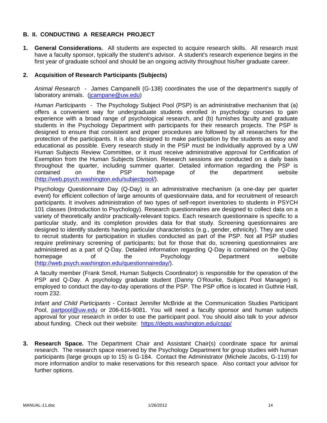# **B. II. CONDUCTING A RESEARCH PROJECT**

**1. General Considerations.** All students are expected to acquire research skills. All research must have a faculty sponsor, typically the student's advisor. A student's research experience begins in the first year of graduate school and should be an ongoing activity throughout his/her graduate career.

#### **2. Acquisition of Research Participants (Subjects)**

*Animal Research* - James Campanelli (G-138) coordinates the use of the department's supply of laboratory animals. (*icampane@uw.edu*)

*Human Participants -* The Psychology Subject Pool (PSP) is an administrative mechanism that (a) offers a convenient way for undergraduate students enrolled in psychology courses to gain experience with a broad range of psychological research, and (b) furnishes faculty and graduate students in the Psychology Department with participants for their research projects. The PSP is designed to ensure that consistent and proper procedures are followed by all researchers for the protection of the participants. It is also designed to make participation by the students as easy and educational as possible. Every research study in the PSP must be individually approved by a UW Human Subjects Review Committee, or it must receive administrative approval for Certification of Exemption from the Human Subjects Division. Research sessions are conducted on a daily basis throughout the quarter, including summer quarter. Detailed information regarding the PSP is contained on the PSP homepage of the department website (http://web.psych.washington.edu/subjectpool/).

Psychology Questionnaire Day (Q-Day) is an administrative mechanism (a one-day per quarter event) for efficient collection of large amounts of questionnaire data, and for recruitment of research participants. It involves administration of two types of self-report inventories to students in PSYCH 101 classes (Introduction to Psychology). Research questionnaires are designed to collect data on a variety of theoretically and/or practically-relevant topics. Each research questionnaire is specific to a particular study, and its completion provides data for that study. Screening questionnaires are designed to identify students having particular characteristics (e.g., gender, ethnicity). They are used to recruit students for participation in studies conducted as part of the PSP. Not all PSP studies require preliminary screening of participants; but for those that do, screening questionnaires are administered as a part of Q-Day. Detailed information regarding Q-Day is contained on the Q-Day homepage of the Psychology Department website (http://web.psych.washington.edu/questionnaireday/).

A faculty member (Frank Smoll, Human Subjects Coordinator) is responsible for the operation of the PSP and Q-Day. A psychology graduate student (Danny O'Rourke, Subject Pool Manager) is employed to conduct the day-to-day operations of the PSP. The PSP office is located in Guthrie Hall, room 232.

*Infant and Child Participants* - Contact Jennifer McBride at the Communication Studies Participant Pool, partpool@uw.edu or 206-616-9081. You will need a faculty sponsor and human subjects approval for your research in order to use the participant pool. You should also talk to your advisor about funding. Check out their website: https://depts.washington.edu/cspp/

**3. Research Space.** The Department Chair and Assistant Chair(s) coordinate space for animal research. The research space reserved by the Psychology Department for group studies with human participants (large groups up to 15) is G-184. Contact the Administrator (Michele Jacobs, G-119) for more information and/or to make reservations for this research space. Also contact your advisor for further options.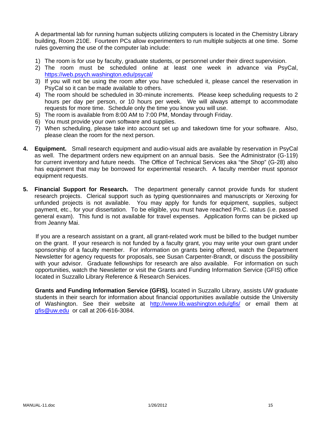A departmental lab for running human subjects utilizing computers is located in the Chemistry Library building, Room 210E. Fourteen PCs allow experimenters to run multiple subjects at one time. Some rules governing the use of the computer lab include:

- 1) The room is for use by faculty, graduate students, or personnel under their direct supervision.
- 2) The room must be scheduled online at least one week in advance via PsyCal, https://web.psych.washington.edu/psycal/
- 3) If you will not be using the room after you have scheduled it, please cancel the reservation in PsyCal so it can be made available to others.
- 4) The room should be scheduled in 30-minute increments. Please keep scheduling requests to 2 hours per day per person, or 10 hours per week. We will always attempt to accommodate requests for more time. Schedule only the time you know you will use.
- 5) The room is available from 8:00 AM to 7:00 PM, Monday through Friday.
- 6) You must provide your own software and supplies.
- 7) When scheduling, please take into account set up and takedown time for your software. Also, please clean the room for the next person.
- **4. Equipment.** Small research equipment and audio-visual aids are available by reservation in PsyCal as well. The department orders new equipment on an annual basis. See the Administrator (G-119) for current inventory and future needs. The Office of Technical Services aka "the Shop" (G-28) also has equipment that may be borrowed for experimental research. A faculty member must sponsor equipment requests.
- **5. Financial Support for Research.** The department generally cannot provide funds for student research projects. Clerical support such as typing questionnaires and manuscripts or Xeroxing for unfunded projects is not available. You may apply for funds for equipment, supplies, subject payment, etc., for your dissertation. To be eligible, you must have reached Ph.C. status (i.e. passed general exam). This fund is not available for travel expenses. Application forms can be picked up from Jeanny Mai.

If you are a research assistant on a grant, all grant-related work must be billed to the budget number on the grant. If your research is not funded by a faculty grant, you may write your own grant under sponsorship of a faculty member. For information on grants being offered, watch the Department Newsletter for agency requests for proposals, see Susan Carpenter-Brandt, or discuss the possibility with your advisor. Graduate fellowships for research are also available. For information on such opportunities, watch the Newsletter or visit the Grants and Funding Information Service (GFIS) office located in Suzzallo Library Reference & Research Services.

**Grants and Funding Information Service (GFIS)**, located in Suzzallo Library, assists UW graduate students in their search for information about financial opportunities available outside the University of Washington. See their website at http://www.lib.washington.edu/gfis/ or email them at gfis@uw.edu or call at 206-616-3084.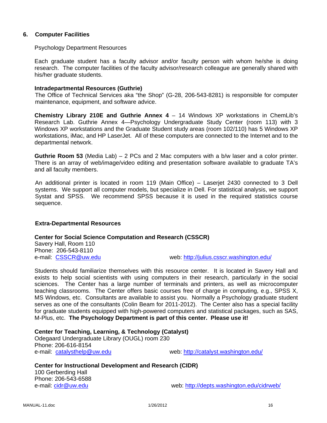#### **6. Computer Facilities**

#### Psychology Department Resources

Each graduate student has a faculty advisor and/or faculty person with whom he/she is doing research. The computer facilities of the faculty advisor/research colleague are generally shared with his/her graduate students.

#### **Intradepartmental Resources (Guthrie)**

The Office of Technical Services aka "the Shop" (G-28, 206-543-8281) is responsible for computer maintenance, equipment, and software advice.

**Chemistry Library 210E and Guthrie Annex 4** – 14 Windows XP workstations in ChemLib's Research Lab. Guthrie Annex 4—Psychology Undergraduate Study Center (room 113) with 3 Windows XP workstations and the Graduate Student study areas (room 102/110) has 5 Windows XP workstations, iMac, and HP LaserJet. All of these computers are connected to the Internet and to the departmental network.

**Guthrie Room 53** (Media Lab) – 2 PCs and 2 Mac computers with a b/w laser and a color printer. There is an array of web/image/video editing and presentation software available to graduate TA's and all faculty members.

An additional printer is located in room 119 (Main Office) – Laserjet 2430 connected to 3 Dell systems. We support all computer models, but specialize in Dell. For statistical analysis, we support Systat and SPSS. We recommend SPSS because it is used in the required statistics course sequence.

#### **Extra-Departmental Resources**

#### **Center for Social Science Computation and Research (CSSCR)**

Savery Hall, Room 110 Phone: 206-543-8110

e-mail: CSSCR@uw.edu example web: http://julius.csscr.washington.edu/

Students should familiarize themselves with this resource center. It is located in Savery Hall and exists to help social scientists with using computers in their research, particularly in the social sciences. The Center has a large number of terminals and printers, as well as microcomputer teaching classrooms. The Center offers basic courses free of charge in computing, e.g., SPSS X, MS Windows, etc. Consultants are available to assist you. Normally a Psychology graduate student serves as one of the consultants (Colin Beam for 2011-2012). The Center also has a special facility for graduate students equipped with high-powered computers and statistical packages, such as SAS, M-Plus, etc. **The Psychology Department is part of this center. Please use it!**

#### **Center for Teaching, Learning, & Technology (Catalyst)**

Odegaard Undergraduate Library (OUGL) room 230 Phone: 206-616-8154 e-mail: catalysthelp@uw.edu web: http://catalyst.washington.edu/

### **Center for Instructional Development and Research (CIDR)**

100 Gerberding Hall Phone: 206-543-6588

e-mail: cidr@uw.edu web: http://depts.washington.edu/cidrweb/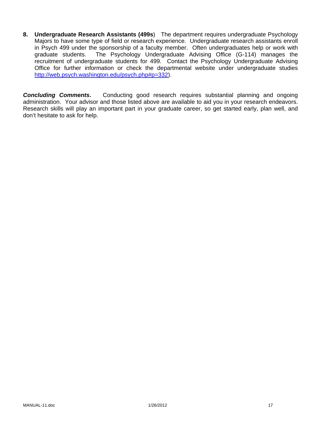**8. Undergraduate Research Assistants (499s**) The department requires undergraduate Psychology Majors to have some type of field or research experience. Undergraduate research assistants enroll in Psych 499 under the sponsorship of a faculty member. Often undergraduates help or work with graduate students. The Psychology Undergraduate Advising Office (G-114) manages the The Psychology Undergraduate Advising Office (G-114) manages the recruitment of undergraduate students for 499. Contact the Psychology Undergraduate Advising Office for further information or check the departmental website under undergraduate studies http://web.psych.washington.edu/psych.php#p=332).

**Concluding Comments.** Conducting good research requires substantial planning and ongoing administration. Your advisor and those listed above are available to aid you in your research endeavors. Research skills will play an important part in your graduate career, so get started early, plan well, and don't hesitate to ask for help.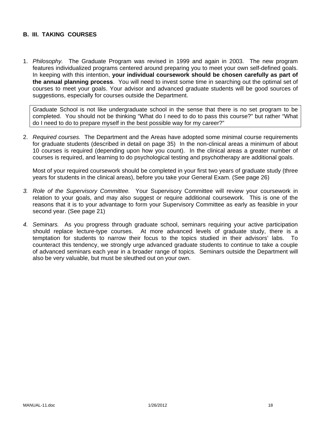### **B. III. TAKING COURSES**

1. *Philosophy.* The Graduate Program was revised in 1999 and again in 2003. The new program features individualized programs centered around preparing you to meet your own self-defined goals. In keeping with this intention, **your individual coursework should be chosen carefully as part of the annual planning process**. You will need to invest some time in searching out the optimal set of courses to meet your goals. Your advisor and advanced graduate students will be good sources of suggestions, especially for courses outside the Department.

Graduate School is not like undergraduate school in the sense that there is no set program to be completed. You should not be thinking "What do I need to do to pass this course?" but rather "What do I need to do to prepare myself in the best possible way for my career?"

2. *Required courses.* The Department and the Areas have adopted some minimal course requirements for graduate students (described in detail on page 35) In the non-clinical areas a minimum of about 10 courses is required (depending upon how you count). In the clinical areas a greater number of courses is required, and learning to do psychological testing and psychotherapy are additional goals.

Most of your required coursework should be completed in your first two years of graduate study (three years for students in the clinical areas), before you take your General Exam. (See page 26)

- *3. Role of the Supervisory Committee.* Your Supervisory Committee will review your coursework in relation to your goals, and may also suggest or require additional coursework. This is one of the reasons that it is to your advantage to form your Supervisory Committee as early as feasible in your second year. (See page 21)
- *4. Seminars.* As you progress through graduate school, seminars requiring your active participation should replace lecture-type courses. At more advanced levels of graduate study, there is a temptation for students to narrow their focus to the topics studied in their advisors' labs. To counteract this tendency, we strongly urge advanced graduate students to continue to take a couple of advanced seminars each year in a broader range of topics. Seminars outside the Department will also be very valuable, but must be sleuthed out on your own.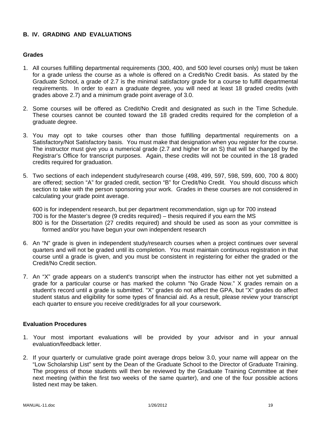# **B. IV. GRADING AND EVALUATIONS**

#### **Grades**

- 1. All courses fulfilling departmental requirements (300, 400, and 500 level courses only) must be taken for a grade unless the course as a whole is offered on a Credit/No Credit basis. As stated by the Graduate School, a grade of 2.7 is the minimal satisfactory grade for a course to fulfill departmental requirements. In order to earn a graduate degree, you will need at least 18 graded credits (with grades above 2.7) and a minimum grade point average of 3.0.
- 2. Some courses will be offered as Credit/No Credit and designated as such in the Time Schedule. These courses cannot be counted toward the 18 graded credits required for the completion of a graduate degree.
- 3. You may opt to take courses other than those fulfilling departmental requirements on a Satisfactory/Not Satisfactory basis. You must make that designation when you register for the course. The instructor must give you a numerical grade (2.7 and higher for an S) that will be changed by the Registrar's Office for transcript purposes. Again, these credits will not be counted in the 18 graded credits required for graduation.
- 5. Two sections of each independent study/research course (498, 499, 597, 598, 599, 600, 700 & 800) are offered; section "A" for graded credit, section "B" for Credit/No Credit. You should discuss which section to take with the person sponsoring your work. Grades in these courses are not considered in calculating your grade point average.

600 is for independent research, but per department recommendation, sign up for 700 instead 700 is for the Master's degree (9 credits required) – thesis required if you earn the MS 800 is for the Dissertation (27 credits required) and should be used as soon as your committee is formed and/or you have begun your own independent research

- 6. An "N" grade is given in independent study/research courses when a project continues over several quarters and will not be graded until its completion. You must maintain continuous registration in that course until a grade is given, and you must be consistent in registering for either the graded or the Credit/No Credit section.
- 7. An "X" grade appears on a student's transcript when the instructor has either not yet submitted a grade for a particular course or has marked the column "No Grade Now." X grades remain on a student's record until a grade is submitted. "X" grades do not affect the GPA, but "X" grades do affect student status and eligibility for some types of financial aid. As a result, please review your transcript each quarter to ensure you receive credit/grades for all your coursework.

#### **Evaluation Procedures**

- 1. Your most important evaluations will be provided by your advisor and in your annual evaluation/feedback letter.
- 2. If your quarterly or cumulative grade point average drops below 3.0, your name will appear on the "Low Scholarship List" sent by the Dean of the Graduate School to the Director of Graduate Training. The progress of those students will then be reviewed by the Graduate Training Committee at their next meeting (within the first two weeks of the same quarter), and one of the four possible actions listed next may be taken.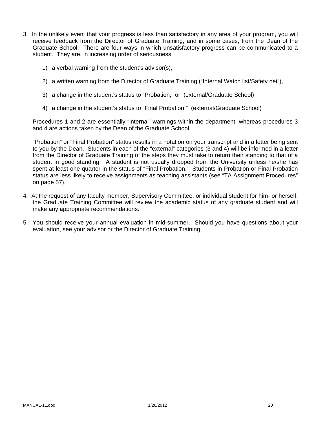- 3. In the unlikely event that your progress is less than satisfactory in any area of your program, you will receive feedback from the Director of Graduate Training, and in some cases, from the Dean of the Graduate School. There are four ways in which unsatisfactory progress can be communicated to a student. They are, in increasing order of seriousness:
	- 1) a verbal warning from the student's advisor(s),
	- 2) a written warning from the Director of Graduate Training ("Internal Watch list/Safety net"),
	- 3) a change in the student's status to "Probation," or (external/Graduate School)
	- 4) a change in the student's status to "Final Probation." (external/Graduate School)

Procedures 1 and 2 are essentially "internal" warnings within the department, whereas procedures 3 and 4 are actions taken by the Dean of the Graduate School.

"Probation" or "Final Probation" status results in a notation on your transcript and in a letter being sent to you by the Dean. Students in each of the "external" categories (3 and 4) will be informed in a letter from the Director of Graduate Training of the steps they must take to return their standing to that of a student in good standing. A student is not usually dropped from the University unless he/she has spent at least one quarter in the status of "Final Probation." Students in Probation or Final Probation status are less likely to receive assignments as teaching assistants (see "TA Assignment Procedures" on page 57).

- 4. At the request of any faculty member, Supervisory Committee, or individual student for him- or herself, the Graduate Training Committee will review the academic status of any graduate student and will make any appropriate recommendations.
- 5. You should receive your annual evaluation in mid-summer. Should you have questions about your evaluation, see your advisor or the Director of Graduate Training.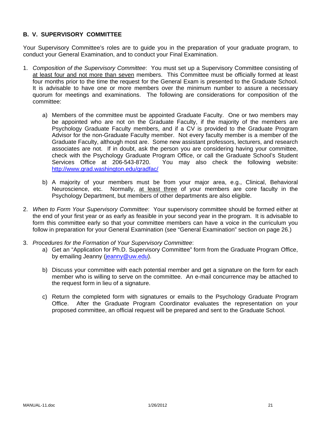# **B. V. SUPERVISORY COMMITTEE**

Your Supervisory Committee's roles are to guide you in the preparation of your graduate program, to conduct your General Examination, and to conduct your Final Examination.

- 1. *Composition of the Supervisory Committee*: You must set up a Supervisory Committee consisting of at least four and not more than seven members. This Committee must be officially formed at least four months prior to the time the request for the General Exam is presented to the Graduate School. It is advisable to have one or more members over the minimum number to assure a necessary quorum for meetings and examinations. The following are considerations for composition of the committee:
	- a) Members of the committee must be appointed Graduate Faculty. One or two members may be appointed who are not on the Graduate Faculty, if the majority of the members are Psychology Graduate Faculty members, and if a CV is provided to the Graduate Program Advisor for the non-Graduate Faculty member. Not every faculty member is a member of the Graduate Faculty, although most are. Some new assistant professors, lecturers, and research associates are not. If in doubt, ask the person you are considering having your committee, check with the Psychology Graduate Program Office, or call the Graduate School's Student Services Office at 206-543-8720. You may also check the following website: http://www.grad.washington.edu/gradfac/
	- b) A majority of your members must be from your major area, e.g., Clinical, Behavioral Neuroscience, etc. Normally, at least three of your members are core faculty in the Psychology Department, but members of other departments are also eligible.
- 2. *When to Form Your Supervisory Committee*: Your supervisory committee should be formed either at the end of your first year or as early as feasible in your second year in the program. It is advisable to form this committee early so that your committee members can have a voice in the curriculum you follow in preparation for your General Examination (see "General Examination" section on page 26.)
- 3. *Procedures for the Formation of Your Supervisory Committee*:
	- a) Get an "Application for Ph.D. Supervisory Committee" form from the Graduate Program Office, by emailing Jeanny (jeanny@uw.edu).
	- b) Discuss your committee with each potential member and get a signature on the form for each member who is willing to serve on the committee. An e-mail concurrence may be attached to the request form in lieu of a signature.
	- c) Return the completed form with signatures or emails to the Psychology Graduate Program Office. After the Graduate Program Coordinator evaluates the representation on your proposed committee, an official request will be prepared and sent to the Graduate School.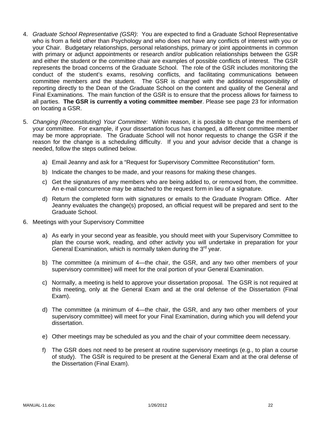- 4. *Graduate School Representative (GSR)*: You are expected to find a Graduate School Representative who is from a field other than Psychology and who does not have any conflicts of interest with you or your Chair. Budgetary relationships, personal relationships, primary or joint appointments in common with primary or adjunct appointments or research and/or publication relationships between the GSR and either the student or the committee chair are examples of possible conflicts of interest. The GSR represents the broad concerns of the Graduate School. The role of the GSR includes monitoring the conduct of the student's exams, resolving conflicts, and facilitating communications between committee members and the student. The GSR is charged with the additional responsibility of reporting directly to the Dean of the Graduate School on the content and quality of the General and Final Examinations. The main function of the GSR is to ensure that the process allows for fairness to all parties. **The GSR is currently a voting committee member**. Please see page 23 for information on locating a GSR.
- 5. *Changing (Reconstituting) Your Committee*: Within reason, it is possible to change the members of your committee. For example, if your dissertation focus has changed, a different committee member may be more appropriate. The Graduate School will not honor requests to change the GSR if the reason for the change is a scheduling difficulty. If you and your advisor decide that a change is needed, follow the steps outlined below.
	- a) Email Jeanny and ask for a "Request for Supervisory Committee Reconstitution" form.
	- b) Indicate the changes to be made, and your reasons for making these changes.
	- c) Get the signatures of any members who are being added to, or removed from, the committee. An e-mail concurrence may be attached to the request form in lieu of a signature.
	- d) Return the completed form with signatures or emails to the Graduate Program Office. After Jeanny evaluates the change(s) proposed, an official request will be prepared and sent to the Graduate School.
- 6. Meetings with your Supervisory Committee
	- a) As early in your second year as feasible, you should meet with your Supervisory Committee to plan the course work, reading, and other activity you will undertake in preparation for your General Examination, which is normally taken during the  $3<sup>rd</sup>$  year.
	- b) The committee (a minimum of 4—the chair, the GSR, and any two other members of your supervisory committee) will meet for the oral portion of your General Examination.
	- c) Normally, a meeting is held to approve your dissertation proposal. The GSR is not required at this meeting, only at the General Exam and at the oral defense of the Dissertation (Final Exam).
	- d) The committee (a minimum of 4—the chair, the GSR, and any two other members of your supervisory committee) will meet for your Final Examination, during which you will defend your dissertation.
	- e) Other meetings may be scheduled as you and the chair of your committee deem necessary.
	- f) The GSR does not need to be present at routine supervisory meetings (e.g., to plan a course of study). The GSR is required to be present at the General Exam and at the oral defense of the Dissertation (Final Exam).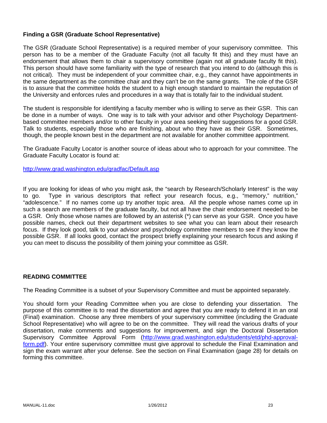# **Finding a GSR (Graduate School Representative)**

The GSR (Graduate School Representative) is a required member of your supervisory committee. This person has to be a member of the Graduate Faculty (not all faculty fit this) and they must have an endorsement that allows them to chair a supervisory committee (again not all graduate faculty fit this). This person should have some familiarity with the type of research that you intend to do (although this is not critical). They must be independent of your committee chair, e.g., they cannot have appointments in the same department as the committee chair and they can't be on the same grants. The role of the GSR is to assure that the committee holds the student to a high enough standard to maintain the reputation of the University and enforces rules and procedures in a way that is totally fair to the individual student.

The student is responsible for identifying a faculty member who is willing to serve as their GSR. This can be done in a number of ways. One way is to talk with your advisor and other Psychology Departmentbased committee members and/or to other faculty in your area seeking their suggestions for a good GSR. Talk to students, especially those who are finishing, about who they have as their GSR. Sometimes, though, the people known best in the department are not available for another committee appointment.

The Graduate Faculty Locator is another source of ideas about who to approach for your committee. The Graduate Faculty Locator is found at:

http://www.grad.washington.edu/gradfac/Default.asp

If you are looking for ideas of who you might ask, the "search by Research/Scholarly Interest" is the way to go. Type in various descriptors that reflect your research focus, e.g., "memory," nutrition," "adolescence." If no names come up try another topic area. All the people whose names come up in such a search are members of the graduate faculty, but not all have the chair endorsement needed to be a GSR. Only those whose names are followed by an asterisk (\*) can serve as your GSR. Once you have possible names, check out their department websites to see what you can learn about their research focus. If they look good, talk to your advisor and psychology committee members to see if they know the possible GSR. If all looks good, contact the prospect briefly explaining your research focus and asking if you can meet to discuss the possibility of them joining your committee as GSR.

#### **READING COMMITTEE**

The Reading Committee is a subset of your Supervisory Committee and must be appointed separately.

You should form your Reading Committee when you are close to defending your dissertation. The purpose of this committee is to read the dissertation and agree that you are ready to defend it in an oral (Final) examination. Choose any three members of your supervisory committee (including the Graduate School Representative) who will agree to be on the committee. They will read the various drafts of your dissertation, make comments and suggestions for improvement, and sign the Doctoral Dissertation Supervisory Committee Approval Form (http://www.grad.washington.edu/students/etd/phd-approvalform.pdf). Your entire supervisory committee must give approval to schedule the Final Examination and sign the exam warrant after your defense. See the section on Final Examination (page 28) for details on forming this committee.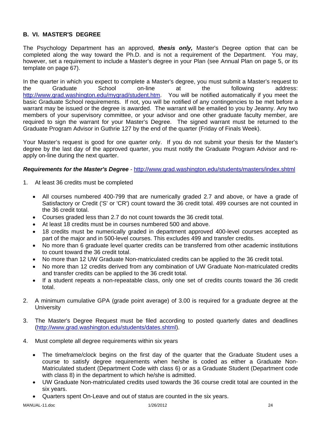# **B. VI. MASTER'S DEGREE**

The Psychology Department has an approved, *thesis only,* Master's Degree option that can be completed along the way toward the Ph.D. and is not a requirement of the Department. You may, however, set a requirement to include a Master's degree in your Plan (see Annual Plan on page 5, or its template on page 67).

In the quarter in which you expect to complete a Master's degree, you must submit a Master's request to the Graduate School on-line at the following address: http://www.grad.washington.edu/mygrad/student.htm. You will be notified automatically if you meet the basic Graduate School requirements. If not, you will be notified of any contingencies to be met before a warrant may be issued or the degree is awarded. The warrant will be emailed to you by Jeanny. Any two members of your supervisory committee, or your advisor and one other graduate faculty member, are required to sign the warrant for your Master's Degree. The signed warrant must be returned to the Graduate Program Advisor in Guthrie 127 by the end of the quarter (Friday of Finals Week).

Your Master's request is good for one quarter only. If you do not submit your thesis for the Master's degree by the last day of the approved quarter, you must notify the Graduate Program Advisor and reapply on-line during the next quarter.

### *Requirements for the Master's Degree* - http://www.grad.washington.edu/students/masters/index.shtml

- 1. At least 36 credits must be completed
	- All courses numbered 400-799 that are numerically graded 2.7 and above, or have a grade of Satisfactory or Credit ('S' or 'CR') count toward the 36 credit total. 499 courses are not counted in the 36 credit total.
	- Courses graded less than 2.7 do not count towards the 36 credit total.
	- At least 18 credits must be in courses numbered 500 and above.
	- 18 credits must be numerically graded in department approved 400-level courses accepted as part of the major and in 500-level courses. This excludes 499 and transfer credits.
	- No more than 6 graduate level quarter credits can be transferred from other academic institutions to count toward the 36 credit total.
	- No more than 12 UW Graduate Non-matriculated credits can be applied to the 36 credit total.
	- No more than 12 credits derived from any combination of UW Graduate Non-matriculated credits and transfer credits can be applied to the 36 credit total.
	- If a student repeats a non-repeatable class, only one set of credits counts toward the 36 credit total.
- 2. A minimum cumulative GPA (grade point average) of 3.00 is required for a graduate degree at the **University**
- 3. The Master's Degree Request must be filed according to posted quarterly dates and deadlines (http://www.grad.washington.edu/students/dates.shtml).
- 4. Must complete all degree requirements within six years
	- The timeframe/clock begins on the first day of the quarter that the Graduate Student uses a course to satisfy degree requirements when he/she is coded as either a Graduate Non-Matriculated student (Department Code with class 6) or as a Graduate Student (Department code with class 8) in the department to which he/she is admitted.
	- UW Graduate Non-matriculated credits used towards the 36 course credit total are counted in the six years.
	- Quarters spent On-Leave and out of status are counted in the six years.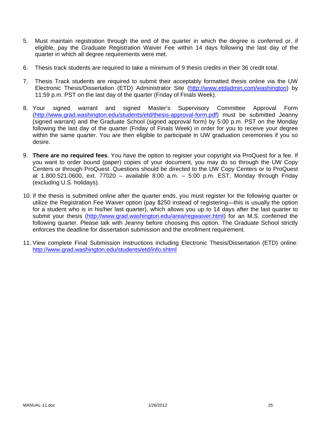- 5. Must maintain registration through the end of the quarter in which the degree is conferred or, if eligible, pay the Graduate Registration Waiver Fee within 14 days following the last day of the quarter in which all degree requirements were met.
- 6. Thesis track students are required to take a minimum of 9 thesis credits in their 36 credit total.
- 7. Thesis Track students are required to submit their acceptably formatted thesis online via the UW Electronic Thesis/Dissertation (ETD) Administrator Site (http://www.etdadmin.com/washington) by 11:59 p.m. PST on the last day of the quarter (Friday of Finals Week).
- 8. Your signed warrant and signed Master's Supervisory Committee Approval Form (http://www.grad.washington.edu/students/etd/thesis-approval-form.pdf) must be submitted Jeanny (signed warrant) and the Graduate School (signed approval form) by 5:00 p.m. PST on the Monday following the last day of the quarter (Friday of Finals Week) in order for you to receive your degree within the same quarter. You are then eligible to participate in UW graduation ceremonies if you so desire.
- 9. **There are no required fees**. You have the option to register your copyright via ProQuest for a fee. If you want to order bound (paper) copies of your document, you may do so through the UW Copy Centers or through ProQuest. Questions should be directed to the UW Copy Centers or to ProQuest at 1.800.521.0600, ext. 77020 – available 8:00 a.m. – 5:00 p.m. EST, Monday through Friday (excluding U.S. holidays).
- 10. If the thesis is submitted online after the quarter ends, you must register for the following quarter or utilize the Registration Fee Waiver option (pay \$250 instead of registering—this is usually the option for a student who is in his/her last quarter), which allows you up to 14 days after the last quarter to submit your thesis (http://www.grad.washington.edu/area/regwaiver.html) for an M.S. conferred the following quarter. Please talk with Jeanny before choosing this option. The Graduate School strictly enforces the deadline for dissertation submission and the enrollment requirement.
- 11. View complete Final Submission Instructions including Electronic Thesis/Dissertation (ETD) online: http://www.grad.washington.edu/students/etd/info.shtml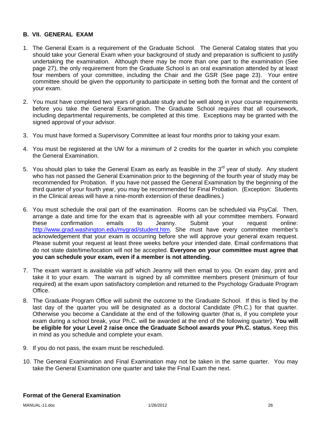### **B. VII. GENERAL EXAM**

- 1. The General Exam is a requirement of the Graduate School. The General Catalog states that you should take your General Exam when your background of study and preparation is sufficient to justify undertaking the examination. Although there may be more than one part to the examination (See page 27), the only requirement from the Graduate School is an oral examination attended by at least four members of your committee, including the Chair and the GSR (See page 23). Your entire committee should be given the opportunity to participate in setting both the format and the content of your exam.
- 2. You must have completed two years of graduate study and be well along in your course requirements before you take the General Examination. The Graduate School requires that all coursework, including departmental requirements, be completed at this time. Exceptions may be granted with the signed approval of your advisor.
- 3. You must have formed a Supervisory Committee at least four months prior to taking your exam.
- 4. You must be registered at the UW for a minimum of 2 credits for the quarter in which you complete the General Examination.
- 5. You should plan to take the General Exam as early as feasible in the  $3<sup>rd</sup>$  year of study. Any student who has not passed the General Examination prior to the beginning of the fourth year of study may be recommended for Probation. If you have not passed the General Examination by the beginning of the third quarter of your fourth year, you may be recommended for Final Probation. (Exception: Students in the Clinical areas will have a nine-month extension of these deadlines.)
- 6. You must schedule the oral part of the examination. Rooms can be scheduled via PsyCal. Then, arrange a date and time for the exam that is agreeable with all your committee members. Forward these confirmation emails to Jeanny. Submit your request online: http://www.grad.washington.edu/mygrad/student.htm. She must have every committee member's acknowledgement that your exam is occurring before she will approve your general exam request. Please submit your request at least three weeks before your intended date. Email confirmations that do not state date/time/location will not be accepted. **Everyone on your committee must agree that you can schedule your exam, even if a member is not attending.**
- 7. The exam warrant is available via pdf which Jeanny will then email to you. On exam day, print and take it to your exam. The warrant is signed by all committee members present (minimum of four required) at the exam upon satisfactory completion and returned to the Psychology Graduate Program Office.
- 8. The Graduate Program Office will submit the outcome to the Graduate School. If this is filed by the last day of the quarter you will be designated as a doctoral Candidate (Ph.C.) for that quarter. Otherwise you become a Candidate at the end of the following quarter (that is, if you complete your exam during a school break, your Ph.C. will be awarded at the end of the following quarter). **You will be eligible for your Level 2 raise once the Graduate School awards your Ph.C. status.** Keep this in mind as you schedule and complete your exam.
- 9. If you do not pass, the exam must be rescheduled.
- 10. The General Examination and Final Examination may not be taken in the same quarter. You may take the General Examination one quarter and take the Final Exam the next.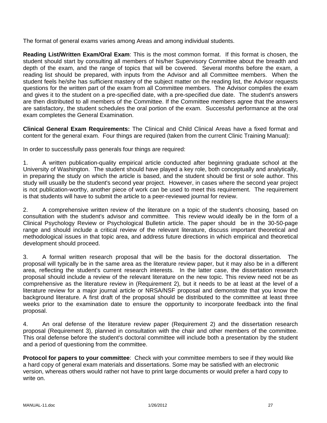The format of general exams varies among Areas and among individual students.

**Reading List/Written Exam/Oral Exam**: This is the most common format. If this format is chosen, the student should start by consulting all members of his/her Supervisory Committee about the breadth and depth of the exam, and the range of topics that will be covered. Several months before the exam, a reading list should be prepared, with inputs from the Advisor and all Committee members. When the student feels he/she has sufficient mastery of the subject matter on the reading list, the Advisor requests questions for the written part of the exam from all Committee members. The Advisor compiles the exam and gives it to the student on a pre-specified date, with a pre-specified due date. The student's answers are then distributed to all members of the Committee. If the Committee members agree that the answers are satisfactory, the student schedules the oral portion of the exam. Successful performance at the oral exam completes the General Examination.

**Clinical General Exam Requirements:** The Clinical and Child Clinical Areas have a fixed format and content for the general exam. Four things are required (taken from the current Clinic Training Manual):

In order to successfully pass generals four things are required:

1. A written publication-quality empirical article conducted after beginning graduate school at the University of Washington. The student should have played a key role, both conceptually and analytically, in preparing the study on which the article is based, and the student should be first or sole author. This study will usually be the student's second year project. However, in cases where the second year project is not publication-worthy, another piece of work can be used to meet this requirement. The requirement is that students will have to submit the article to a peer-reviewed journal for review.

2. A comprehensive written review of the literature on a topic of the student's choosing, based on consultation with the student's advisor and committee. This review would ideally be in the form of a Clinical Psychology Review or Psychological Bulletin article. The paper should be in the 30-50-page range and should include a critical review of the relevant literature, discuss important theoretical and methodological issues in that topic area, and address future directions in which empirical and theoretical development should proceed.

3. A formal written research proposal that will be the basis for the doctoral dissertation. The proposal will typically be in the same area as the literature review paper, but it may also be in a different area, reflecting the student's current research interests. In the latter case, the dissertation research proposal should include a review of the relevant literature on the new topic. This review need not be as comprehensive as the literature review in (Requirement 2), but it needs to be at least at the level of a literature review for a major journal article or NRSA/NSF proposal and demonstrate that you know the background literature. A first draft of the proposal should be distributed to the committee at least three weeks prior to the examination date to ensure the opportunity to incorporate feedback into the final proposal.

4. An oral defense of the literature review paper (Requirement 2) and the dissertation research proposal (Requirement 3), planned in consultation with the chair and other members of the committee. This oral defense before the student's doctoral committee will include both a presentation by the student and a period of questioning from the committee.

**Protocol for papers to your committee**: Check with your committee members to see if they would like a hard copy of general exam materials and dissertations. Some may be satisfied with an electronic version, whereas others would rather not have to print large documents or would prefer a hard copy to write on.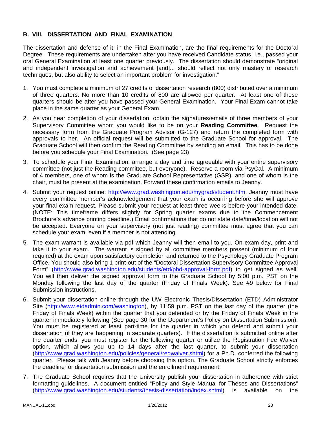# **B. VIII. DISSERTATION AND FINAL EXAMINATION**

The dissertation and defense of it, in the Final Examination, are the final requirements for the Doctoral Degree. These requirements are undertaken after you have received Candidate status, i.e., passed your oral General Examination at least one quarter previously. The dissertation should demonstrate "original and independent investigation and achievement [and]... should reflect not only mastery of research techniques, but also ability to select an important problem for investigation."

- 1. You must complete a minimum of 27 credits of dissertation research (800) distributed over a minimum of three quarters. No more than 10 credits of 800 are allowed per quarter. At least one of these quarters should be after you have passed your General Examination. Your Final Exam cannot take place in the same quarter as your General Exam.
- 2. As you near completion of your dissertation, obtain the signatures/emails of three members of your Supervisory Committee whom you would like to be on your **Reading Committee**. Request the necessary form from the Graduate Program Advisor (G-127) and return the completed form with approvals to her. An official request will be submitted to the Graduate School for approval. The Graduate School will then confirm the Reading Committee by sending an email. This has to be done before you schedule your Final Examination. (See page 23)
- 3. To schedule your Final Examination, arrange a day and time agreeable with your entire supervisory committee (not just the Reading committee, but everyone). Reserve a room via PsyCal. A minimum of 4 members, one of whom is the Graduate School Representative (GSR), and one of whom is the chair, must be present at the examination. Forward these confirmation emails to Jeanny.
- 4. Submit your request online: http://www.grad.washington.edu/mygrad/student.htm. Jeanny must have every committee member's acknowledgement that your exam is occurring before she will approve your final exam request. Please submit your request at least three weeks before your intended date. (NOTE: This timeframe differs slightly for Spring quarter exams due to the Commencement Brochure's advance printing deadline.) Email confirmations that do not state date/time/location will not be accepted. Everyone on your supervisory (not just reading) committee must agree that you can schedule your exam, even if a member is not attending.
- 5. The exam warrant is available via pdf which Jeanny will then email to you. On exam day, print and take it to your exam. The warrant is signed by all committee members present (minimum of four required) at the exam upon satisfactory completion and returned to the Psychology Graduate Program Office. You should also bring 1 print-out of the "Doctoral Dissertation Supervisory Committee Approval Form" (http://www.grad.washington.edu/students/etd/phd-approval-form.pdf) to get signed as well. You will then deliver the signed approval form to the Graduate School by 5:00 p.m. PST on the Monday following the last day of the quarter (Friday of Finals Week). See #9 below for Final Submission instructions.
- 6. Submit your dissertation online through the UW Electronic Thesis/Dissertation (ETD) Administrator Site (http://www.etdadmin.com/washington), by 11:59 p.m. PST on the last day of the quarter (the Friday of Finals Week) within the quarter that you defended or by the Friday of Finals Week in the quarter immediately following (See page 30 for the Department's Policy on Dissertation Submission). You must be registered at least part-time for the quarter in which you defend and submit your dissertation (if they are happening in separate quarters). If the dissertation is submitted online after the quarter ends, you must register for the following quarter or utilize the Registration Fee Waiver option, which allows you up to 14 days after the last quarter, to submit your dissertation (http://www.grad.washington.edu/policies/general/regwaiver.shtml) for a Ph.D. conferred the following quarter. Please talk with Jeanny before choosing this option. The Graduate School strictly enforces the deadline for dissertation submission and the enrollment requirement.
- 7. The Graduate School requires that the University publish your dissertation in adherence with strict formatting guidelines. A document entitled "Policy and Style Manual for Theses and Dissertations" (http://www.grad.washington.edu/students/thesis-dissertation/index.shtml) is available on the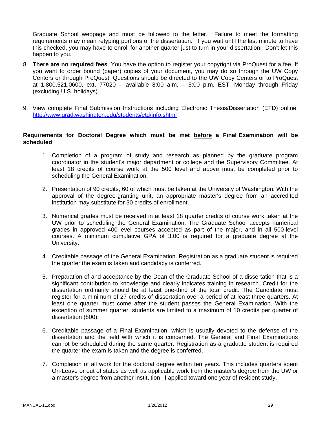Graduate School webpage and must be followed to the letter. Failure to meet the formatting requirements may mean retyping portions of the dissertation. If you wait until the last minute to have this checked, you may have to enroll for another quarter just to turn in your dissertation! Don't let this happen to you.

- 8. **There are no required fees**. You have the option to register your copyright via ProQuest for a fee. If you want to order bound (paper) copies of your document, you may do so through the UW Copy Centers or through ProQuest. Questions should be directed to the UW Copy Centers or to ProQuest at 1.800.521.0600, ext. 77020 – available 8:00 a.m. – 5:00 p.m. EST, Monday through Friday (excluding U.S. holidays).
- 9. View complete Final Submission Instructions including Electronic Thesis/Dissertation (ETD) online: http://www.grad.washington.edu/students/etd/info.shtml

#### **Requirements for Doctoral Degree which must be met before a Final Examination will be scheduled**

- 1. Completion of a program of study and research as planned by the graduate program coordinator in the student's major department or college and the Supervisory Committee. At least 18 credits of course work at the 500 level and above must be completed prior to scheduling the General Examination.
- 2. Presentation of 90 credits, 60 of which must be taken at the University of Washington. With the approval of the degree-granting unit, an appropriate master's degree from an accredited institution may substitute for 30 credits of enrollment.
- 3. Numerical grades must be received in at least 18 quarter credits of course work taken at the UW prior to scheduling the General Examination. The Graduate School accepts numerical grades in approved 400-level courses accepted as part of the major, and in all 500-level courses. A minimum cumulative GPA of 3.00 is required for a graduate degree at the University.
- 4. Creditable passage of the General Examination. Registration as a graduate student is required the quarter the exam is taken and candidacy is conferred.
- 5. Preparation of and acceptance by the Dean of the Graduate School of a dissertation that is a significant contribution to knowledge and clearly indicates training in research. Credit for the dissertation ordinarily should be at least one-third of the total credit. The Candidate must register for a minimum of 27 credits of dissertation over a period of at least three quarters. At least one quarter must come after the student passes the General Examination. With the exception of summer quarter, students are limited to a maximum of 10 credits per quarter of dissertation (800).
- 6. Creditable passage of a Final Examination, which is usually devoted to the defense of the dissertation and the field with which it is concerned. The General and Final Examinations cannot be scheduled during the same quarter. Registration as a graduate student is required the quarter the exam is taken and the degree is conferred.
- 7. Completion of all work for the doctoral degree within ten years. This includes quarters spent On-Leave or out of status as well as applicable work from the master's degree from the UW or a master's degree from another institution, if applied toward one year of resident study.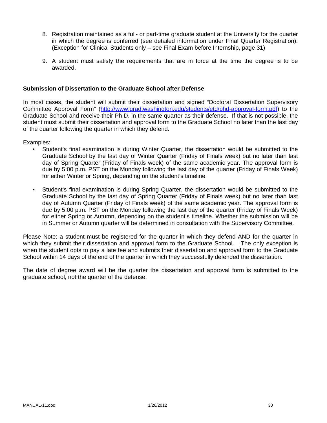- 8. Registration maintained as a full- or part-time graduate student at the University for the quarter in which the degree is conferred (see detailed information under Final Quarter Registration). (Exception for Clinical Students only – see Final Exam before Internship, page 31)
- 9. A student must satisfy the requirements that are in force at the time the degree is to be awarded.

#### **Submission of Dissertation to the Graduate School after Defense**

In most cases, the student will submit their dissertation and signed "Doctoral Dissertation Supervisory Committee Approval Form" (http://www.grad.washington.edu/students/etd/phd-approval-form.pdf) to the Graduate School and receive their Ph.D. in the same quarter as their defense. If that is not possible, the student must submit their dissertation and approval form to the Graduate School no later than the last day of the quarter following the quarter in which they defend.

Examples:

- Student's final examination is during Winter Quarter, the dissertation would be submitted to the Graduate School by the last day of Winter Quarter (Friday of Finals week) but no later than last day of Spring Quarter (Friday of Finals week) of the same academic year. The approval form is due by 5:00 p.m. PST on the Monday following the last day of the quarter (Friday of Finals Week) for either Winter or Spring, depending on the student's timeline.
- Student's final examination is during Spring Quarter, the dissertation would be submitted to the Graduate School by the last day of Spring Quarter (Friday of Finals week) but no later than last day of Autumn Quarter (Friday of Finals week) of the same academic year. The approval form is due by 5:00 p.m. PST on the Monday following the last day of the quarter (Friday of Finals Week) for either Spring or Autumn, depending on the student's timeline. Whether the submission will be in Summer or Autumn quarter will be determined in consultation with the Supervisory Committee.

Please Note: a student must be registered for the quarter in which they defend AND for the quarter in which they submit their dissertation and approval form to the Graduate School. The only exception is when the student opts to pay a late fee and submits their dissertation and approval form to the Graduate School within 14 days of the end of the quarter in which they successfully defended the dissertation.

The date of degree award will be the quarter the dissertation and approval form is submitted to the graduate school, not the quarter of the defense.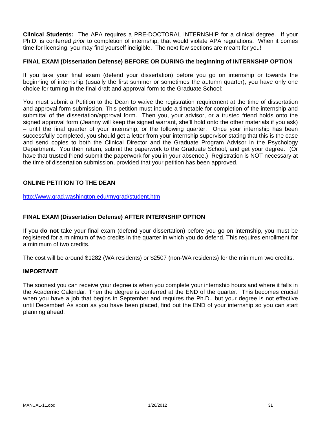**Clinical Students:** The APA requires a PRE-DOCTORAL INTERNSHIP for a clinical degree. If your Ph.D. is conferred *prior* to completion of internship, that would violate APA regulations. When it comes time for licensing, you may find yourself ineligible. The next few sections are meant for you!

### **FINAL EXAM (Dissertation Defense) BEFORE OR DURING the beginning of INTERNSHIP OPTION**

If you take your final exam (defend your dissertation) before you go on internship or towards the beginning of internship (usually the first summer or sometimes the autumn quarter), you have only one choice for turning in the final draft and approval form to the Graduate School:

You must submit a Petition to the Dean to waive the registration requirement at the time of dissertation and approval form submission. This petition must include a timetable for completion of the internship and submittal of the dissertation/approval form. Then you, your advisor, or a trusted friend holds onto the signed approval form (Jeanny will keep the signed warrant, she'll hold onto the other materials if you ask) – until the final quarter of your internship, or the following quarter. Once your internship has been successfully completed, you should get a letter from your internship supervisor stating that this is the case and send copies to both the Clinical Director and the Graduate Program Advisor in the Psychology Department. You then return, submit the paperwork to the Graduate School, and get your degree. (Or have that trusted friend submit the paperwork for you in your absence.) Registration is NOT necessary at the time of dissertation submission, provided that your petition has been approved.

# **ONLINE PETITION TO THE DEAN**

http://www.grad.washington.edu/mygrad/student.htm

#### **FINAL EXAM (Dissertation Defense) AFTER INTERNSHIP OPTION**

If you **do not** take your final exam (defend your dissertation) before you go on internship, you must be registered for a minimum of two credits in the quarter in which you do defend. This requires enrollment for a minimum of two credits.

The cost will be around \$1282 (WA residents) or \$2507 (non-WA residents) for the minimum two credits.

#### **IMPORTANT**

The soonest you can receive your degree is when you complete your internship hours and where it falls in the Academic Calendar. Then the degree is conferred at the END of the quarter. This becomes crucial when you have a job that begins in September and requires the Ph.D., but your degree is not effective until December! As soon as you have been placed, find out the END of your internship so you can start planning ahead.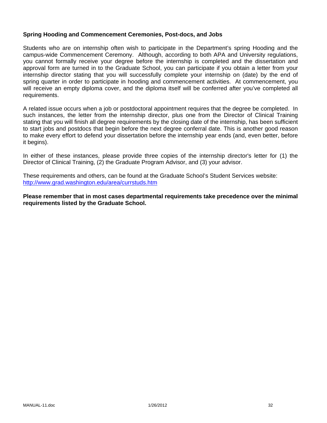#### **Spring Hooding and Commencement Ceremonies, Post-docs, and Jobs**

Students who are on internship often wish to participate in the Department's spring Hooding and the campus-wide Commencement Ceremony. Although, according to both APA and University regulations, you cannot formally receive your degree before the internship is completed and the dissertation and approval form are turned in to the Graduate School, you can participate if you obtain a letter from your internship director stating that you will successfully complete your internship on (date) by the end of spring quarter in order to participate in hooding and commencement activities. At commencement, you will receive an empty diploma cover, and the diploma itself will be conferred after you've completed all requirements.

A related issue occurs when a job or postdoctoral appointment requires that the degree be completed. In such instances, the letter from the internship director, plus one from the Director of Clinical Training stating that you will finish all degree requirements by the closing date of the internship, has been sufficient to start jobs and postdocs that begin before the next degree conferral date. This is another good reason to make every effort to defend your dissertation before the internship year ends (and, even better, before it begins).

In either of these instances, please provide three copies of the internship director's letter for (1) the Director of Clinical Training, (2) the Graduate Program Advisor, and (3) your advisor.

These requirements and others, can be found at the Graduate School's Student Services website: http://www.grad.washington.edu/area/currstuds.htm

**Please remember that in most cases departmental requirements take precedence over the minimal requirements listed by the Graduate School.**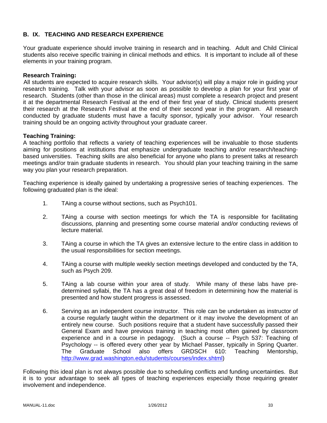# **B. IX. TEACHING AND RESEARCH EXPERIENCE**

Your graduate experience should involve training in research and in teaching. Adult and Child Clinical students also receive specific training in clinical methods and ethics. It is important to include all of these elements in your training program.

#### **Research Training:**

All students are expected to acquire research skills. Your advisor(s) will play a major role in guiding your research training. Talk with your advisor as soon as possible to develop a plan for your first year of research. Students (other than those in the clinical areas) must complete a research project and present it at the departmental Research Festival at the end of their first year of study. Clinical students present their research at the Research Festival at the end of their second year in the program. All research conducted by graduate students must have a faculty sponsor, typically your advisor. Your research training should be an ongoing activity throughout your graduate career.

### **Teaching Training:**

A teaching portfolio that reflects a variety of teaching experiences will be invaluable to those students aiming for positions at institutions that emphasize undergraduate teaching and/or research/teachingbased universities. Teaching skills are also beneficial for anyone who plans to present talks at research meetings and/or train graduate students in research. You should plan your teaching training in the same way you plan your research preparation.

Teaching experience is ideally gained by undertaking a progressive series of teaching experiences. The following graduated plan is the ideal:

- 1. TAing a course without sections, such as Psych101.
- 2. TAing a course with section meetings for which the TA is responsible for facilitating discussions, planning and presenting some course material and/or conducting reviews of lecture material.
- 3. TAing a course in which the TA gives an extensive lecture to the entire class in addition to the usual responsibilities for section meetings.
- 4. TAing a course with multiple weekly section meetings developed and conducted by the TA, such as Psych 209.
- 5. TAing a lab course within your area of study. While many of these labs have predetermined syllabi, the TA has a great deal of freedom in determining how the material is presented and how student progress is assessed.
- 6. Serving as an independent course instructor. This role can be undertaken as instructor of a course regularly taught within the department or it may involve the development of an entirely new course. Such positions require that a student have successfully passed their General Exam and have previous training in teaching most often gained by classroom experience and in a course in pedagogy. (Such a course -- Psych 537: Teaching of Psychology -- is offered every other year by Michael Passer, typically in Spring Quarter. The Graduate School also offers GRDSCH 610: Teaching Mentorship, http://www.grad.washington.edu/students/courses/index.shtml)

Following this ideal plan is not always possible due to scheduling conflicts and funding uncertainties. But it is to your advantage to seek all types of teaching experiences especially those requiring greater involvement and independence.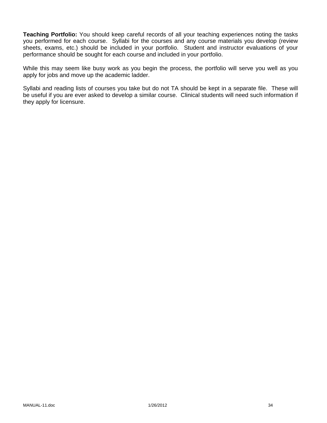**Teaching Portfolio:** You should keep careful records of all your teaching experiences noting the tasks you performed for each course. Syllabi for the courses and any course materials you develop (review sheets, exams, etc.) should be included in your portfolio. Student and instructor evaluations of your performance should be sought for each course and included in your portfolio.

While this may seem like busy work as you begin the process, the portfolio will serve you well as you apply for jobs and move up the academic ladder.

Syllabi and reading lists of courses you take but do not TA should be kept in a separate file. These will be useful if you are ever asked to develop a similar course. Clinical students will need such information if they apply for licensure.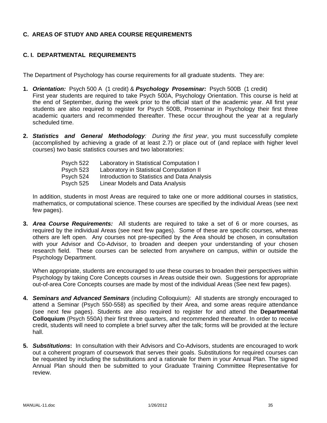# **C. AREAS OF STUDY AND AREA COURSE REQUIREMENTS**

# **C. I. DEPARTMENTAL REQUIREMENTS**

The Department of Psychology has course requirements for all graduate students. They are:

- **1.** *Orientation:* Psych 500 A (1 credit) & *Psychology Proseminar:* Psych 500B (1 credit) First year students are required to take Psych 500A, Psychology Orientation. This course is held at the end of September, during the week prior to the official start of the academic year. All first year students are also required to register for Psych 500B, Proseminar in Psychology their first three academic quarters and recommended thereafter. These occur throughout the year at a regularly scheduled time.
- **2.** *Statistics and General Methodology: During the first year*, you must successfully complete (accomplished by achieving a grade of at least 2.7) or place out of (and replace with higher level courses) two basic statistics courses and two laboratories:

| Laboratory in Statistical Computation I      |
|----------------------------------------------|
| Laboratory in Statistical Computation II     |
| Introduction to Statistics and Data Analysis |
| Linear Models and Data Analysis              |
|                                              |

In addition, students in most Areas are required to take one or more additional courses in statistics, mathematics, or computational science. These courses are specified by the individual Areas (see next few pages).

**3.** *Area Course Requirements:* All students are required to take a set of 6 or more courses, as required by the individual Areas (see next few pages). Some of these are specific courses, whereas others are left open. Any courses not pre-specified by the Area should be chosen, in consultation with your Advisor and Co-Advisor, to broaden and deepen your understanding of your chosen research field. These courses can be selected from anywhere on campus, within or outside the Psychology Department.

When appropriate, students are encouraged to use these courses to broaden their perspectives within Psychology by taking Core Concepts courses in Areas outside their own. Suggestions for appropriate out-of-area Core Concepts courses are made by most of the individual Areas (See next few pages).

- **4.** *Seminars and Advanced Seminars* (including Colloquium): All students are strongly encouraged to attend a Seminar (Psych 550-558) as specified by their Area, and some areas require attendance (see next few pages). Students are also required to register for and attend the **Departmental Colloquium** (Psych 550A) their first three quarters, and recommended thereafter. In order to receive credit, students will need to complete a brief survey after the talk; forms will be provided at the lecture hall.
- **5.** *Substitutions***:** In consultation with their Advisors and Co-Advisors, students are encouraged to work out a coherent program of coursework that serves their goals. Substitutions for required courses can be requested by including the substitutions and a rationale for them in your Annual Plan. The signed Annual Plan should then be submitted to your Graduate Training Committee Representative for review.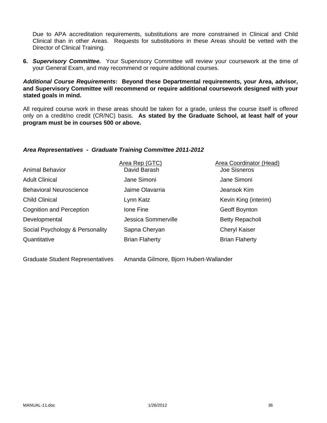Due to APA accreditation requirements, substitutions are more constrained in Clinical and Child Clinical than in other Areas. Requests for substitutions in these Areas should be vetted with the Director of Clinical Training.

**6.** *Supervisory Committee.* Your Supervisory Committee will review your coursework at the time of your General Exam, and may recommend or require additional courses.

### *Additional Course Requirements***: Beyond these Departmental requirements, your Area, advisor, and Supervisory Committee will recommend or require additional coursework designed with your stated goals in mind.**

All required course work in these areas should be taken for a grade, unless the course itself is offered only on a credit/no credit (CR/NC) basis. **As stated by the Graduate School, at least half of your program must be in courses 500 or above.**

### *Area Representatives - Graduate Training Committee 2011-2012*

| <b>Animal Behavior</b>          | Area Rep (GTC)<br>David Barash | <b>Area Coordinator (Head)</b><br><b>Joe Sisneros</b> |
|---------------------------------|--------------------------------|-------------------------------------------------------|
| <b>Adult Clinical</b>           | Jane Simoni                    | Jane Simoni                                           |
| <b>Behavioral Neuroscience</b>  | Jaime Olavarria                | Jeansok Kim                                           |
| <b>Child Clinical</b>           | Lynn Katz                      | Kevin King (interim)                                  |
| Cognition and Perception        | Ione Fine                      | Geoff Boynton                                         |
| Developmental                   | Jessica Sommerville            | Betty Repacholi                                       |
| Social Psychology & Personality | Sapna Cheryan                  | <b>Cheryl Kaiser</b>                                  |
| Quantitative                    | <b>Brian Flaherty</b>          | <b>Brian Flaherty</b>                                 |
|                                 |                                |                                                       |

Graduate Student Representatives Amanda Gilmore, Bjorn Hubert-Wallander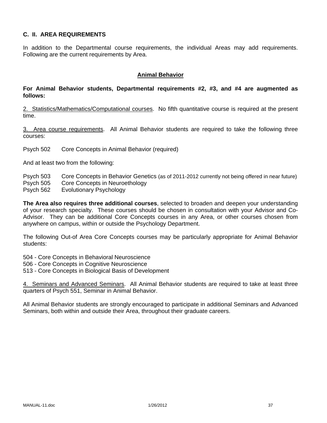### **C. II. AREA REQUIREMENTS**

In addition to the Departmental course requirements, the individual Areas may add requirements. Following are the current requirements by Area.

#### **Animal Behavior**

### **For Animal Behavior students, Departmental requirements #2, #3, and #4 are augmented as follows:**

2. Statistics/Mathematics/Computational courses. No fifth quantitative course is required at the present time.

3. Area course requirements. All Animal Behavior students are required to take the following three courses:

Psych 502 Core Concepts in Animal Behavior (required)

And at least two from the following:

- Psych 503 Core Concepts in Behavior Genetics (as of 2011-2012 currently not being offered in near future)
- Psych 505 Core Concepts in Neuroethology
- Psych 562 Evolutionary Psychology

**The Area also requires three additional courses**, selected to broaden and deepen your understanding of your research specialty. These courses should be chosen in consultation with your Advisor and Co-Advisor. They can be additional Core Concepts courses in any Area, or other courses chosen from anywhere on campus, within or outside the Psychology Department.

The following Out-of Area Core Concepts courses may be particularly appropriate for Animal Behavior students:

504 - Core Concepts in Behavioral Neuroscience

- 506 Core Concepts in Cognitive Neuroscience
- 513 Core Concepts in Biological Basis of Development

4. Seminars and Advanced Seminars. All Animal Behavior students are required to take at least three quarters of Psych 551, Seminar in Animal Behavior.

All Animal Behavior students are strongly encouraged to participate in additional Seminars and Advanced Seminars, both within and outside their Area, throughout their graduate careers.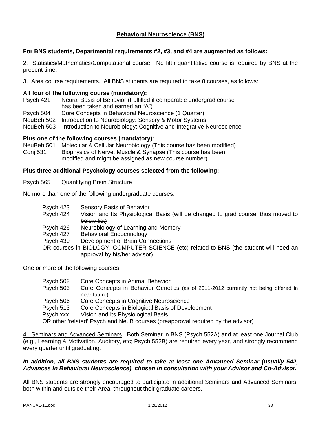# **Behavioral Neuroscience (BNS)**

#### **For BNS students, Departmental requirements #2, #3, and #4 are augmented as follows:**

2. Statistics/Mathematics/Computational course. No fifth quantitative course is required by BNS at the present time.

3. Area course requirements. All BNS students are required to take 8 courses, as follows:

#### **All four of the following course (mandatory):**

- Psych 421 Neural Basis of Behavior (Fulfilled if comparable undergrad course has been taken and earned an "A")
- Psych 504 Core Concepts in Behavioral Neuroscience (1 Quarter)
- NeuBeh 502 Introduction to Neurobiology: Sensory & Motor Systems
- NeuBeh 503 Introduction to Neurobiology: Cognitive and Integrative Neuroscience

#### **Plus one of the following courses (mandatory):**

NeuBeh 501 Molecular & Cellular Neurobiology (This course has been modified) Conj 531 Biophysics of Nerve, Muscle & Synapse (This course has been modified and might be assigned as new course number)

#### **Plus three additional Psychology courses selected from the following:**

Psych 565 Quantifying Brain Structure

No more than one of the following undergraduate courses:

- Psych 423 Sensory Basis of Behavior
- Psych 424 Vision and Its Physiological Basis (will be changed to grad course; thus moved to below list)
- Psych 426 Neurobiology of Learning and Memory
- Psych 427 Behavioral Endocrinology
- Psych 430 Development of Brain Connections
- OR courses in BIOLOGY, COMPUTER SCIENCE (etc) related to BNS (the student will need an approval by his/her advisor)

One or more of the following courses:

| Psych 502 | Core Concepts in Animal Behavior                                                                   |
|-----------|----------------------------------------------------------------------------------------------------|
| Psych 503 | Core Concepts in Behavior Genetics (as of 2011-2012 currently not being offered in<br>near future) |
| Psych 506 | Core Concepts in Cognitive Neuroscience                                                            |
| Psych 513 | Core Concepts in Biological Basis of Development                                                   |
| Psych xxx | Vision and Its Physiological Basis                                                                 |
|           | OR other 'related' Psych and NeuB courses (preapproval required by the advisor)                    |

4. Seminars and Advanced Seminars. Both Seminar in BNS (Psych 552A) and at least one Journal Club (e.g., Learning & Motivation, Auditory, etc; Psych 552B) are required every year, and strongly recommend every quarter until graduating.

#### *In addition, all BNS students are required to take at least one Advanced Seminar (usually 542, Advances in Behavioral Neuroscience), chosen in consultation with your Advisor and Co-Advisor.*

All BNS students are strongly encouraged to participate in additional Seminars and Advanced Seminars, both within and outside their Area, throughout their graduate careers.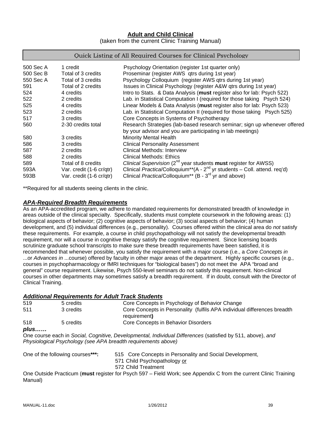# **Adult and Child Clinical**

(taken from the current Clinic Training Manual)

#### Quick Listing of All Required Courses for Clinical Psychology

| 500 Sec A | 1 credit                 | Psychology Orientation (register 1st quarter only)                                        |
|-----------|--------------------------|-------------------------------------------------------------------------------------------|
| 500 Sec B | Total of 3 credits       | Proseminar (register AWS gtrs during 1st year)                                            |
| 550 Sec A | Total of 3 credits       | Psychology Colloquium (register AWS gtrs during 1st year)                                 |
| 591       | Total of 2 credits       | Issues in Clinical Psychology (register A&W qtrs during 1st year)                         |
| 524       | 4 credits                | Intro to Stats. & Data Analysis (must register also for lab: Psych 522)                   |
| 522       | 2 credits                | Lab. in Statistical Computation I (required for those taking Psych 524)                   |
| 525       | 4 credits                | Linear Models & Data Analysis (must register also for lab: Psych 523)                     |
| 523       | 2 credits                | Lab. in Statistical Computation II (required for those taking Psych 525)                  |
| 517       | 3 credits                | Core Concepts in Systems of Psychotherapy                                                 |
| 560       | 2-30 credits total       | Research Strategies (lab-based research seminar; sign up whenever offered                 |
|           |                          | by your advisor and you are participating in lab meetings)                                |
| 580       | 3 credits                | <b>Minority Mental Health</b>                                                             |
| 586       | 3 credits                | <b>Clinical Personality Assessment</b>                                                    |
| 587       | 2 credits                | Clinical Methods: Interview                                                               |
| 588       | 2 credits                | Clinical Methods: Ethics                                                                  |
| 589       | Total of 8 credits       | Clinical Supervision ( $2^{nd}$ year students <b>must</b> register for AWSS)              |
| 593A      | Var. credit (1-6 cr/qtr) | Clinical Practica/Colloquium <sup>**</sup> ( $A - 2nd$ yr students – Coll. attend. req'd) |
| 593B      | Var. credit (1-6 cr/qtr) | Clinical Practica/Colloquium <sup>**</sup> (B - 3 <sup>rd</sup> yr and above)             |

\*\*Required for all students seeing clients in the clinic.

#### *APA-Required Breadth Requirements*

As an APA-accredited program, we adhere to mandated requirements for demonstrated breadth of knowledge in areas outside of the clinical specialty. Specifically, students must complete coursework in the following areas: (1) biological aspects of behavior; (2) cognitive aspects of behavior; (3) social aspects of behavior; (4) human development, and (5) individual differences (e.g., personality). Courses offered within the clinical area do *not* satisfy these requirements. For example, a course in child psychopathology will not satisfy the developmental breadth requirement, nor will a course in cognitive therapy satisfy the cognitive requirement. Since licensing boards scrutinize graduate school transcripts to make sure these breadth requirements have been satisfied, it is recommended that whenever possible, you satisfy the requirement with a major course (i.e., a *Core Concepts in* ...or *Advances in* ...course) offered by faculty in other major areas of the department. Highly specific courses (e.g., courses in psychopharmacology or fMRI techniques for "biological bases") do not meet the APA "broad and general" course requirement. Likewise, Psych 550-level seminars do not satisfy this requirement. Non-clinical courses in other departments may sometimes satisfy a breadth requirement. If in doubt, consult with the Director of Clinical Training.

#### *Additional Requirements for Adult Track Students*

| 519  | 5 credits                        | Core Concepts in Psychology of Behavior Change                                                             |
|------|----------------------------------|------------------------------------------------------------------------------------------------------------|
| 511  | 3 credits                        | Core Concepts in Personality (fulfils APA individual differences breadth<br>requirement)                   |
| 518  | 5 credits                        | Core Concepts in Behavior Disorders                                                                        |
| plus |                                  |                                                                                                            |
|      |                                  | One course each in Social, Cognitive, Developmental, Individual Differences (satisfied by 511, above), and |
|      |                                  | Physiological Psychology (see APA breadth requirements above)                                              |
|      | One of the following courses***: | 515 Core Concepts in Personality and Social Development,<br>571 Child Devehonathology or                   |

571 Child Psychopathology or 572 Child Treatment

One Outside Practicum (**must** register for Psych 597 – Field Work; see Appendix C from the current Clinic Training Manual)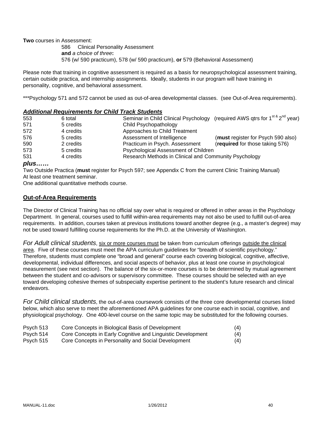**Two** courses in Assessment:

 586 Clinical Personality Assessment **and** *a choice of three***:**  576 (w/ 590 practicum), 578 (w/ 590 practicum), **or** 579 (Behavioral Assessment)

Please note that training in cognitive assessment is required as a basis for neuropsychological assessment training, certain outside practica, and internship assignments. Ideally, students in our program will have training in personality, cognitive, and behavioral assessment.

\*\*\*Psychology 571 and 572 cannot be used as out-of-area developmental classes. (see Out-of-Area requirements).

#### *Additional Requirements for Child Track Students*

| 553 | 6 total   | Seminar in Child Clinical Psychology (required AWS qtrs for 1 <sup>st &amp;</sup> 2 <sup>nd</sup> year) |                                    |
|-----|-----------|---------------------------------------------------------------------------------------------------------|------------------------------------|
| 571 | 5 credits | Child Psychopathology                                                                                   |                                    |
| 572 | 4 credits | Approaches to Child Treatment                                                                           |                                    |
| 576 | 5 credits | Assessment of Intelligence                                                                              | (must register for Psych 590 also) |
| 590 | 2 credits | Practicum in Psych. Assessment                                                                          | (required for those taking 576)    |
| 573 | 5 credits | Psychological Assessment of Children                                                                    |                                    |
| 531 | 4 credits | Research Methods in Clinical and Community Psychology                                                   |                                    |

#### *plus……*

Two Outside Practica (**must** register for Psych 597; see Appendix C from the current Clinic Training Manual) At least one treatment seminar.

One additional quantitative methods course.

#### **Out-of-Area Requirements**

The Director of Clinical Training has no official say over what is required or offered in other areas in the Psychology Department. In general, courses used to fulfill within-area requirements may not also be used to fulfill out-of-area requirements. In addition, courses taken at previous institutions toward another degree (e.g., a master's degree) may not be used toward fulfilling course requirements for the Ph.D. at the University of Washington.

*For Adult clinical students*, six or more courses must be taken from curriculum offerings outside the clinical area. Five of these courses must meet the APA curriculum guidelines for "breadth of scientific psychology." Therefore, students must complete one "broad and general" course each covering biological, cognitive, affective, developmental, individual differences, and social aspects of behavior, plus at least one course in psychological measurement (see next section). The balance of the six-or-more courses is to be determined by mutual agreement between the student and co-advisors or supervisory committee. These courses should be selected with an eye toward developing cohesive themes of subspecialty expertise pertinent to the student's future research and clinical endeavors.

*For Child clinical students*, the out-of-area coursework consists of the three core developmental courses listed below, which also serve to meet the aforementioned APA guidelines for one course each in social, cognitive, and physiological psychology. One 400-level course on the same topic may be substituted for the following courses.

| Psych 513 | Core Concepts in Biological Basis of Development            | (4) |
|-----------|-------------------------------------------------------------|-----|
| Psych 514 | Core Concepts in Early Cognitive and Linguistic Development | (4) |

Psych 515 Core Concepts in Personality and Social Development (4)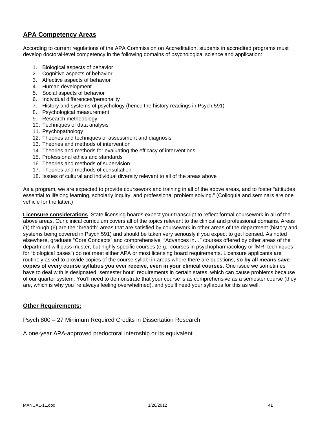# **APA Competency Areas**

According to current regulations of the APA Commission on Accreditation, students in accredited programs must develop doctoral-level competency in the following domains of psychological science and application:

- 1. Biological aspects of behavior
- 2. Cognitive aspects of behavior
- 3. Affective aspects of behavior
- 4. Human development
- 5. Social aspects of behavior
- 6. Individual differences/personality
- 7. History and systems of psychology (hence the history readings in Psych 591)
- 8. Psychological measurement
- 9. Research methodology
- 10. Techniques of data analysis
- 11. Psychopathology
- 12. Theories and techniques of assessment and diagnosis
- 13. Theories and methods of intervention
- 14. Theories and methods for evaluating the efficacy of interventions
- 15. Professional ethics and standards
- 16. Theories and methods of supervision
- 17. Theories and methods of consultation
- 18. Issues of cultural and individual diversity relevant to all of the areas above

As a program, we are expected to provide coursework and training in all of the above areas, and to foster "attitudes essential to lifelong learning, scholarly inquiry, and professional problem solving." (Colloquia and seminars are one vehicle for the latter.)

**Licensure considerations**. State licensing boards expect your transcript to reflect formal coursework in all of the above areas. Our clinical curriculum covers all of the topics relevant to the clinical and professional domains. Areas (1) through (6) are the "breadth" areas that are satisfied by coursework in other areas of the department (history and systems being covered in Psych 591) and should be taken very seriously if you expect to get licensed. As noted elsewhere, graduate "Core Concepts" and comprehensive "Advances in…" courses offered by other areas of the department will pass muster, but highly specific courses (e.g., courses in psychopharmacology or fMRI techniques for "biological bases") do not meet either APA or most licensing board requirements. Licensure applicants are routinely asked to provide copies of the course syllabi in areas where there are questions, **so by all means save copies of every course syllabus you ever receive, even in your clinical courses**. One issue we sometimes have to deal with is designated "semester hour" requirements in certain states, which can cause problems because of our quarter system. You'll need to demonstrate that your course is as comprehensive as a semester course (they are, which is why you 're always feeling overwhelmed), and you'll need your syllabus for this as well.

#### **Other Requirements:**

Psych 800 – 27 Minimum Required Credits in Dissertation Research

A one-year APA-approved predoctoral internship or its equivalent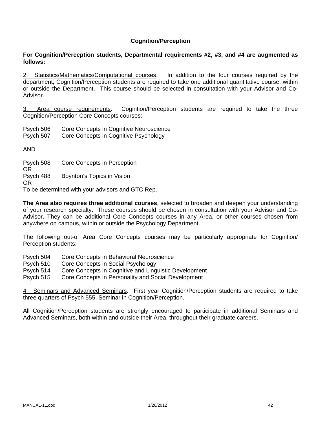### **Cognition/Perception**

#### **For Cognition/Perception students, Departmental requirements #2, #3, and #4 are augmented as follows:**

2. Statistics/Mathematics/Computational courses. In addition to the four courses required by the department, Cognition/Perception students are required to take one additional quantitative course, within or outside the Department. This course should be selected in consultation with your Advisor and Co-Advisor.

3. Area course requirements. Cognition/Perception students are required to take the three Cognition/Perception Core Concepts courses:

Psych 506 Core Concepts in Cognitive Neuroscience

Psych 507 Core Concepts in Cognitive Psychology

AND

Psych 508 Core Concepts in Perception OR Psych 488 Boynton's Topics in Vision OR To be determined with your advisors and GTC Rep.

**The Area also requires three additional courses**, selected to broaden and deepen your understanding

of your research specialty. These courses should be chosen in consultation with your Advisor and Co-Advisor. They can be additional Core Concepts courses in any Area, or other courses chosen from anywhere on campus, within or outside the Psychology Department.

The following out-of Area Core Concepts courses may be particularly appropriate for Cognition/ Perception students:

- Psych 504 Core Concepts in Behavioral Neuroscience
- Psych 510 Core Concepts in Social Psychology

Psych 514 Core Concepts in Cognitive and Linguistic Development

Psych 515 Core Concepts in Personality and Social Development

4. Seminars and Advanced Seminars. First year Cognition/Perception students are required to take three quarters of Psych 555, Seminar in Cognition/Perception.

All Cognition/Perception students are strongly encouraged to participate in additional Seminars and Advanced Seminars, both within and outside their Area, throughout their graduate careers.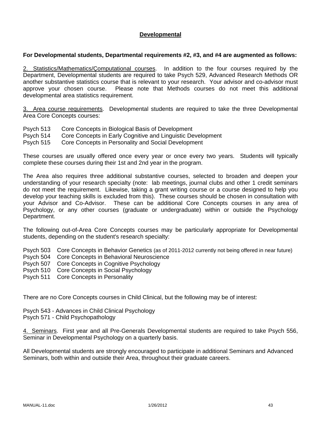### **Developmental**

#### **For Developmental students, Departmental requirements #2, #3, and #4 are augmented as follows:**

2. Statistics/Mathematics/Çomputational courses. In addition to the four courses required by the Department, Developmental students are required to take Psych 529, Advanced Research Methods OR another substantive statistics course that is relevant to your research. Your advisor and co-advisor must approve your chosen course. Please note that Methods courses do not meet this additional developmental area statistics requirement.

3. Area course requirements. Developmental students are required to take the three Developmental Area Core Concepts courses:

- Psych 513 Core Concepts in Biological Basis of Development
- Psych 514 Core Concepts in Early Cognitive and Linguistic Development

Psych 515 Core Concepts in Personality and Social Development

These courses are usually offered once every year or once every two years. Students will typically complete these courses during their 1st and 2nd year in the program.

The Area also requires three additional substantive courses, selected to broaden and deepen your understanding of your research specialty (note: lab meetings, journal clubs and other 1 credit seminars do not meet the requirement. Likewise, taking a grant writing course or a course designed to help you develop your teaching skills is excluded from this). These courses should be chosen in consultation with your Advisor and Co-Advisor. These can be additional Core Concepts courses in any area of Psychology, or any other courses (graduate or undergraduate) within or outside the Psychology Department.

The following out-of-Area Core Concepts courses may be particularly appropriate for Developmental students, depending on the student's research specialty:

Psych 503 Core Concepts in Behavior Genetics (as of 2011-2012 currently not being offered in near future)

- Psych 504 Core Concepts in Behavioral Neuroscience
- Psych 507 Core Concepts in Cognitive Psychology
- Psych 510 Core Concepts in Social Psychology
- Psych 511 Core Concepts in Personality

There are no Core Concepts courses in Child Clinical, but the following may be of interest:

Psych 543 - Advances in Child Clinical Psychology Psych 571 - Child Psychopathology

4. Seminars. First year and all Pre-Generals Developmental students are required to take Psych 556, Seminar in Developmental Psychology on a quarterly basis.

All Developmental students are strongly encouraged to participate in additional Seminars and Advanced Seminars, both within and outside their Area, throughout their graduate careers.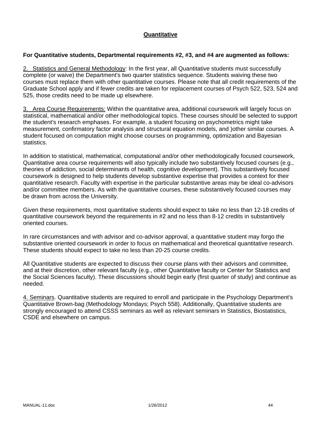# **Quantitative**

### **For Quantitative students, Departmental requirements #2, #3, and #4 are augmented as follows:**

2. Statistics and General Methodology: In the first year, all Quantitative students must successfully complete (or waive) the Department's two quarter statistics sequence. Students waiving these two courses must replace them with other quantitative courses. Please note that all credit requirements of the Graduate School apply and if fewer credits are taken for replacement courses of Psych 522, 523, 524 and 525, those credits need to be made up elsewhere.

3. Area Course Requirements: Within the quantitative area, additional coursework will largely focus on statistical, mathematical and/or other methodological topics. These courses should be selected to support the student's research emphases. For example, a student focusing on psychometrics might take measurement, confirmatory factor analysis and structural equation models, and )other similar courses. A student focused on computation might choose courses on programming, optimization and Bayesian statistics.

In addition to statistical, mathematical, computational and/or other methodologically focused coursework, Quantitative area course requirements will also typically include two substantively focused courses (e.g., theories of addiction, social determinants of health, cognitive development). This substantively focused coursework is designed to help students develop substantive expertise that provides a context for their quantitative research. Faculty with expertise in the particular substantive areas may be ideal co-advisors and/or committee members. As with the quantitative courses, these substantively focused courses may be drawn from across the University.

Given these requirements, most quantitative students should expect to take no less than 12-18 credits of quantitative coursework beyond the requirements in #2 and no less than 8-12 credits in substantively oriented courses.

In rare circumstances and with advisor and co-advisor approval, a quantitative student may forgo the substantive oriented coursework in order to focus on mathematical and theoretical quantitative research. These students should expect to take no less than 20-25 course credits.

All Quantitative students are expected to discuss their course plans with their advisors and committee, and at their discretion, other relevant faculty (e.g., other Quantitative faculty or Center for Statistics and the Social Sciences faculty). These discussions should begin early (first quarter of study) and continue as needed.

4. Seminars. Quantitative students are required to enroll and participate in the Psychology Department's Quantitative Brown-bag (Methodology Mondays; Psych 558). Additionally, Quantitative students are strongly encouraged to attend CSSS seminars as well as relevant seminars in Statistics, Biostatistics, CSDE and elsewhere on campus.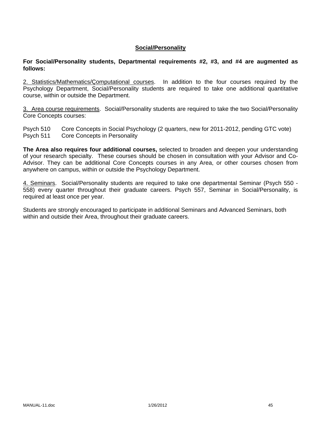### **Social/Personality**

**For Social/Personality students, Departmental requirements #2, #3, and #4 are augmented as follows:**

2. Statistics/Mathematics/Computational courses. In addition to the four courses required by the Psychology Department, Social/Personality students are required to take one additional quantitative course, within or outside the Department.

3. Area course requirements. Social/Personality students are required to take the two Social/Personality Core Concepts courses:

Psych 510 Core Concepts in Social Psychology (2 quarters, new for 2011-2012, pending GTC vote) Psych 511 Core Concepts in Personality

**The Area also requires four additional courses,** selected to broaden and deepen your understanding of your research specialty. These courses should be chosen in consultation with your Advisor and Co-Advisor. They can be additional Core Concepts courses in any Area, or other courses chosen from anywhere on campus, within or outside the Psychology Department.

4. Seminars. Social/Personality students are required to take one departmental Seminar (Psych 550 - 558) every quarter throughout their graduate careers. Psych 557, Seminar in Social/Personality, is required at least once per year.

Students are strongly encouraged to participate in additional Seminars and Advanced Seminars, both within and outside their Area, throughout their graduate careers.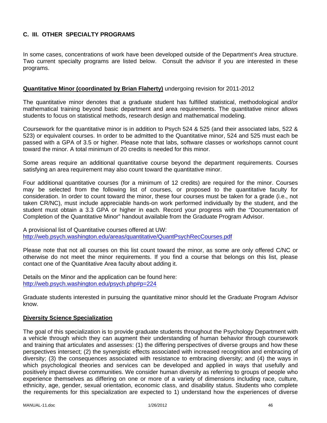# **C. III. OTHER SPECIALTY PROGRAMS**

In some cases, concentrations of work have been developed outside of the Department's Area structure. Two current specialty programs are listed below. Consult the advisor if you are interested in these programs.

### **Quantitative Minor (coordinated by Brian Flaherty)** undergoing revision for 2011-2012

The quantitative minor denotes that a graduate student has fulfilled statistical, methodological and/or mathematical training beyond basic department and area requirements. The quantitative minor allows students to focus on statistical methods, research design and mathematical modeling.

Coursework for the quantitative minor is in addition to Psych 524 & 525 (and their associated labs, 522 & 523) or equivalent courses. In order to be admitted to the Quantitative minor, 524 and 525 must each be passed with a GPA of 3.5 or higher. Please note that labs, software classes or workshops cannot count toward the minor. A total minimum of 20 credits is needed for this minor.

Some areas require an additional quantitative course beyond the department requirements. Courses satisfying an area requirement may also count toward the quantitative minor.

Four additional quantitative courses (for a minimum of 12 credits) are required for the minor. Courses may be selected from the following list of courses, or proposed to the quantitative faculty for consideration. In order to count toward the minor, these four courses must be taken for a grade (i.e., not taken CR/NC), must include appreciable hands-on work performed individually by the student, and the student must obtain a 3.3 GPA or higher in each. Record your progress with the "Documentation of Completion of the Quantitative Minor" handout available from the Graduate Program Advisor.

A provisional list of Quantitative courses offered at UW: http://web.psych.washington.edu/areas/quantitative/QuantPsychRecCourses.pdf

Please note that not all courses on this list count toward the minor, as some are only offered C/NC or otherwise do not meet the minor requirements. If you find a course that belongs on this list, please contact one of the Quantitative Area faculty about adding it.

Details on the Minor and the application can be found here: http://web.psych.washington.edu/psych.php#p=224

Graduate students interested in pursuing the quantitative minor should let the Graduate Program Advisor know.

#### **Diversity Science Specialization**

The goal of this specialization is to provide graduate students throughout the Psychology Department with a vehicle through which they can augment their understanding of human behavior through coursework and training that articulates and assesses: (1) the differing perspectives of diverse groups and how these perspectives intersect; (2) the synergistic effects associated with increased recognition and embracing of diversity; (3) the consequences associated with resistance to embracing diversity; and (4) the ways in which psychological theories and services can be developed and applied in ways that usefully and positively impact diverse communities. We consider human diversity as referring to groups of people who experience themselves as differing on one or more of a variety of dimensions including race, culture, ethnicity, age, gender, sexual orientation, economic class, and disability status. Students who complete the requirements for this specialization are expected to 1) understand how the experiences of diverse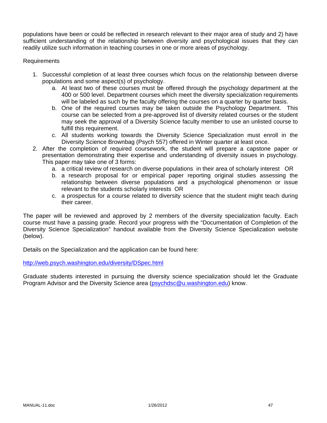populations have been or could be reflected in research relevant to their major area of study and 2) have sufficient understanding of the relationship between diversity and psychological issues that they can readily utilize such information in teaching courses in one or more areas of psychology.

### Requirements

- 1. Successful completion of at least three courses which focus on the relationship between diverse populations and some aspect(s) of psychology.
	- a. At least two of these courses must be offered through the psychology department at the 400 or 500 level. Department courses which meet the diversity specialization requirements will be labeled as such by the faculty offering the courses on a quarter by quarter basis.
	- b. One of the required courses may be taken outside the Psychology Department. This course can be selected from a pre-approved list of diversity related courses or the student may seek the approval of a Diversity Science faculty member to use an unlisted course to fulfill this requirement.
	- c. All students working towards the Diversity Science Specialization must enroll in the Diversity Science Brownbag (Psych 557) offered in Winter quarter at least once.
- 2. After the completion of required coursework, the student will prepare a capstone paper or presentation demonstrating their expertise and understanding of diversity issues in psychology. This paper may take one of 3 forms:
	- a. a critical review of research on diverse populations in their area of scholarly interest OR
	- b. a research proposal for or empirical paper reporting original studies assessing the relationship between diverse populations and a psychological phenomenon or issue relevant to the students scholarly interests OR
	- c. a prospectus for a course related to diversity science that the student might teach during their career.

The paper will be reviewed and approved by 2 members of the diversity specialization faculty. Each course must have a passing grade. Record your progress with the "Documentation of Completion of the Diversity Science Specialization" handout available from the Diversity Science Specialization website (below).

Details on the Specialization and the application can be found here:

http://web.psych.washington.edu/diversity/DSpec.html

Graduate students interested in pursuing the diversity science specialization should let the Graduate Program Advisor and the Diversity Science area (psychdsc@u.washington.edu) know.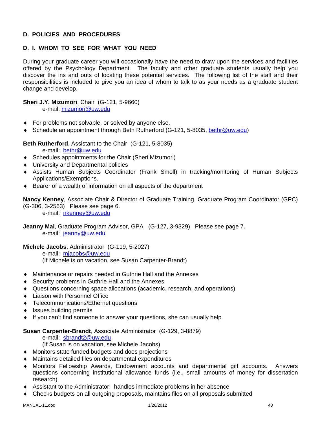# **D. POLICIES AND PROCEDURES**

# **D. I. WHOM TO SEE FOR WHAT YOU NEED**

During your graduate career you will occasionally have the need to draw upon the services and facilities offered by the Psychology Department. The faculty and other graduate students usually help you discover the ins and outs of locating these potential services. The following list of the staff and their responsibilities is included to give you an idea of whom to talk to as your needs as a graduate student change and develop.

# **Sheri J.Y. Mizumori**, Chair (G-121, 5-9660)

e-mail: mizumori@uw.edu

- ♦ For problems not solvable, or solved by anyone else.
- ♦ Schedule an appointment through Beth Rutherford (G-121, 5-8035, bethr@uw.edu)

**Beth Rutherford**, Assistant to the Chair (G-121, 5-8035)

e-mail: bethr@uw.edu

- ♦ Schedules appointments for the Chair (Sheri Mizumori)
- ♦ University and Departmental policies
- ♦ Assists Human Subjects Coordinator (Frank Smoll) in tracking/monitoring of Human Subjects Applications/Exemptions.
- ♦ Bearer of a wealth of information on all aspects of the department

**Nancy Kenney**, Associate Chair & Director of Graduate Training, Graduate Program Coordinator (GPC) (G-306, 3-2563) Please see page 6.

e-mail: nkenney@uw.edu

**Jeanny Mai**, Graduate Program Advisor, GPA (G-127, 3-9329) Please see page 7. e-mail: jeanny@uw.edu

**Michele Jacobs**, Administrator (G-119, 5-2027) e-mail: mjacobs@uw.edu

(If Michele is on vacation, see Susan Carpenter-Brandt)

- ♦ Maintenance or repairs needed in Guthrie Hall and the Annexes
- ♦ Security problems in Guthrie Hall and the Annexes
- ♦ Questions concerning space allocations (academic, research, and operations)
- ♦ Liaison with Personnel Office
- ♦ Telecommunications/Ethernet questions
- ♦ Issues building permits
- ♦ If you can't find someone to answer your questions, she can usually help

#### **Susan Carpenter-Brandt**, Associate Administrator (G-129, 3-8879)

e-mail: sbrandt2@uw.edu

(If Susan is on vacation, see Michele Jacobs)

- ♦ Monitors state funded budgets and does projections
- ♦ Maintains detailed files on departmental expenditures
- ♦ Monitors Fellowship Awards, Endowment accounts and departmental gift accounts. Answers questions concerning institutional allowance funds (i.e., small amounts of money for dissertation research)
- ♦ Assistant to the Administrator: handles immediate problems in her absence
- ♦ Checks budgets on all outgoing proposals, maintains files on all proposals submitted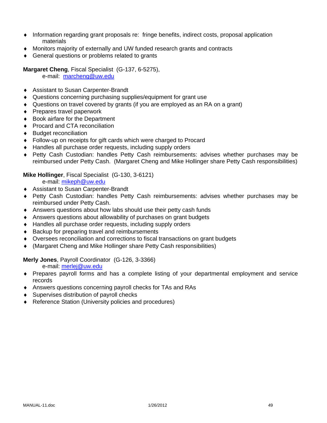- ♦ Information regarding grant proposals re: fringe benefits, indirect costs, proposal application materials
- ♦ Monitors majority of externally and UW funded research grants and contracts
- ♦ General questions or problems related to grants

**Margaret Cheng**, Fiscal Specialist (G-137, 6-5275),

e-mail: marcheng@uw.edu

- ♦ Assistant to Susan Carpenter-Brandt
- ♦ Questions concerning purchasing supplies/equipment for grant use
- ♦ Questions on travel covered by grants (if you are employed as an RA on a grant)
- ♦ Prepares travel paperwork
- ♦ Book airfare for the Department
- ♦ Procard and CTA reconciliation
- ♦ Budget reconciliation
- ♦ Follow-up on receipts for gift cards which were charged to Procard
- ♦ Handles all purchase order requests, including supply orders
- ♦ Petty Cash Custodian: handles Petty Cash reimbursements: advises whether purchases may be reimbursed under Petty Cash. (Margaret Cheng and Mike Hollinger share Petty Cash responsibilities)

### **Mike Hollinger**, Fiscal Specialist (G-130, 3-6121)

e-mail: mikeph@uw.edu

- ♦ Assistant to Susan Carpenter-Brandt
- ♦ Petty Cash Custodian: handles Petty Cash reimbursements: advises whether purchases may be reimbursed under Petty Cash.
- ♦ Answers questions about how labs should use their petty cash funds
- ♦ Answers questions about allowability of purchases on grant budgets
- ♦ Handles all purchase order requests, including supply orders
- ♦ Backup for preparing travel and reimbursements
- ♦ Oversees reconciliation and corrections to fiscal transactions on grant budgets
- ♦ (Margaret Cheng and Mike Hollinger share Petty Cash responsibilities)

# **Merly Jones**, Payroll Coordinator (G-126, 3-3366)

e-mail: merlej@uw.edu

- ♦ Prepares payroll forms and has a complete listing of your departmental employment and service records
- ♦ Answers questions concerning payroll checks for TAs and RAs
- ♦ Supervises distribution of payroll checks
- ♦ Reference Station (University policies and procedures)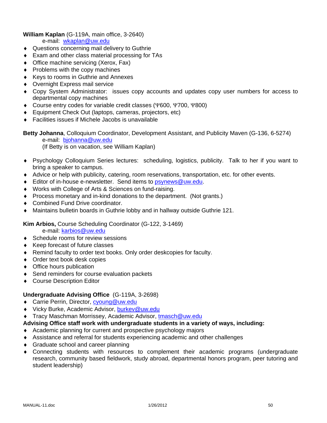## **William Kaplan** (G-119A, main office, 3-2640)

e-mail: wkaplan@uw.edu

- ♦ Questions concerning mail delivery to Guthrie
- ♦ Exam and other class material processing for TAs
- ♦ Office machine servicing (Xerox, Fax)
- ♦ Problems with the copy machines
- ♦ Keys to rooms in Guthrie and Annexes
- ♦ Overnight Express mail service
- ♦ Copy System Administrator: issues copy accounts and updates copy user numbers for access to departmental copy machines
- ♦ Course entry codes for variable credit classes (Ψ600, Ψ700, Ψ800)
- ♦ Equipment Check Out (laptops, cameras, projectors, etc)
- ♦ Facilities issues if Michele Jacobs is unavailable

**Betty Johanna**, Colloquium Coordinator, Development Assistant, and Publicity Maven (G-136, 6-5274) e-mail: bjohanna@uw.edu (If Betty is on vacation, see William Kaplan)

- ♦ Psychology Colloquium Series lectures: scheduling, logistics, publicity. Talk to her if you want to bring a speaker to campus.
- ♦ Advice or help with publicity, catering, room reservations, transportation, etc. for other events.
- ♦ Editor of in-house e-newsletter. Send items to psynews@uw.edu.
- ♦ Works with College of Arts & Sciences on fund-raising.
- ♦ Process monetary and in-kind donations to the department. (Not grants.)
- ♦ Combined Fund Drive coordinator.
- ♦ Maintains bulletin boards in Guthrie lobby and in hallway outside Guthrie 121.

**Kim Arbios,** Course Scheduling Coordinator (G-122, 3-1469)

e-mail: karbios@uw.edu

- ♦ Schedule rooms for review sessions
- ♦ Keep forecast of future classes
- ♦ Remind faculty to order text books. Only order deskcopies for faculty.
- ◆ Order text book desk copies
- ♦ Office hours publication
- ♦ Send reminders for course evaluation packets
- ◆ Course Description Editor

# **Undergraduate Advising Office** (G-119A, 3-2698)

- ◆ Carrie Perrin, Director, cyoung@uw.edu
- ♦ Vicky Burke, Academic Advisor, burkev@uw.edu
- ♦ Tracy Maschman Morrissey, Academic Advisor, tmasch@uw.edu
- **Advising Office staff work with undergraduate students in a variety of ways, including:**
- ♦ Academic planning for current and prospective psychology majors
- ♦ Assistance and referral for students experiencing academic and other challenges
- ♦ Graduate school and career planning
- ♦ Connecting students with resources to complement their academic programs (undergraduate research, community based fieldwork, study abroad, departmental honors program, peer tutoring and student leadership)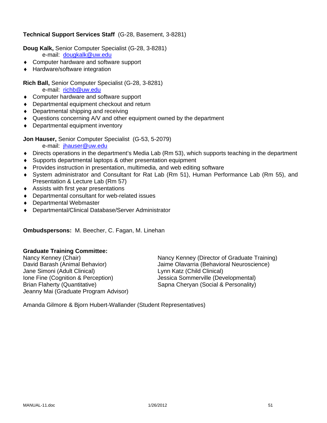# **Technical Support Services Staff** (G-28, Basement, 3-8281)

**Doug Kalk,** Senior Computer Specialist (G-28, 3-8281)

- e-mail: dougkalk@uw.edu
- ♦ Computer hardware and software support
- ♦ Hardware/software integration

### **Rich Ball,** Senior Computer Specialist (G-28, 3-8281)

e-mail: richb@uw.edu

- ♦ Computer hardware and software support
- ♦ Departmental equipment checkout and return
- ♦ Departmental shipping and receiving
- ♦ Questions concerning A/V and other equipment owned by the department
- ♦ Departmental equipment inventory

**Jon Hauser,** Senior Computer Specialist (G-53, 5-2079)

e-mail: jhauser@uw.edu

- ♦ Directs operations in the department's Media Lab (Rm 53), which supports teaching in the department
- ♦ Supports departmental laptops & other presentation equipment
- ♦ Provides instruction in presentation, multimedia, and web editing software
- ♦ System administrator and Consultant for Rat Lab (Rm 51), Human Performance Lab (Rm 55), and Presentation & Lecture Lab (Rm 57)
- ♦ Assists with first year presentations
- ♦ Departmental consultant for web-related issues
- ♦ Departmental Webmaster
- ♦ Departmental/Clinical Database/Server Administrator

**Ombudspersons:** M. Beecher, C. Fagan, M. Linehan

### **Graduate Training Committee:**

Jane Simoni (Adult Clinical) Lynn Katz (Child Clinical) Ione Fine (Cognition & Perception) Jessica Sommerville (Developmental) Brian Flaherty (Quantitative) Sapna Cheryan (Social & Personality) Jeanny Mai (Graduate Program Advisor)

Nancy Kenney (Chair)<br>
David Barash (Animal Behavior) Sanney Kenney (Director of Graduate Training)<br>
Jaime Olavarria (Behavioral Neuroscience) Jaime Olavarria (Behavioral Neuroscience)

Amanda Gilmore & Bjorn Hubert-Wallander (Student Representatives)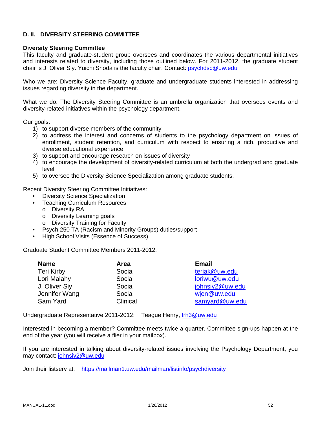### **D. II. DIVERSITY STEERING COMMITTEE**

#### **Diversity Steering Committee**

This faculty and graduate-student group oversees and coordinates the various departmental initiatives and interests related to diversity, including those outlined below. For 2011-2012, the graduate student chair is J. Oliver Siy. Yuichi Shoda is the faculty chair. Contact: psychdsc@uw.edu

Who we are: Diversity Science Faculty, graduate and undergraduate students interested in addressing issues regarding diversity in the department.

What we do: The Diversity Steering Committee is an umbrella organization that oversees events and diversity-related initiatives within the psychology department.

Our goals:

- 1) to support diverse members of the community
- 2) to address the interest and concerns of students to the psychology department on issues of enrollment, student retention, and curriculum with respect to ensuring a rich, productive and diverse educational experience
- 3) to support and encourage research on issues of diversity
- 4) to encourage the development of diversity-related curriculum at both the undergrad and graduate level
- 5) to oversee the Diversity Science Specialization among graduate students.

Recent Diversity Steering Committee Initiatives:

- Diversity Science Specialization
- Teaching Curriculum Resources
	- o Diversity RA
	- o Diversity Learning goals
	- o Diversity Training for Faculty
- Psych 250 TA (Racism and Minority Groups) duties/support
- High School Visits (Essence of Success)

Graduate Student Committee Members 2011-2012:

| <b>Name</b>   | Area     | <b>Email</b>    |
|---------------|----------|-----------------|
| Teri Kirby    | Social   | teriak@uw.edu   |
| Lori Malahy   | Social   | loriwu@uw.edu   |
| J. Oliver Siy | Social   | johnsiy2@uw.edu |
| Jennifer Wang | Social   | wjen@uw.edu     |
| Sam Yard      | Clinical | samyard@uw.edu  |

Undergraduate Representative 2011-2012: Teague Henry, trh3@uw.edu

Interested in becoming a member? Committee meets twice a quarter. Committee sign-ups happen at the end of the year (you will receive a flier in your mailbox).

If you are interested in talking about diversity-related issues involving the Psychology Department, you may contact: johnsiy2@uw.edu

Join their listserv at: https://mailman1.uw.edu/mailman/listinfo/psychdiversity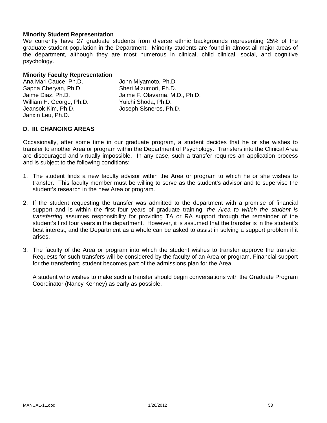### **Minority Student Representation**

We currently have 27 graduate students from diverse ethnic backgrounds representing 25% of the graduate student population in the Department. Minority students are found in almost all major areas of the department, although they are most numerous in clinical, child clinical, social, and cognitive psychology.

#### **Minority Faculty Representation**

| Ana Mari Cauce, Ph.D.    | John Miyamoto, Ph.D             |
|--------------------------|---------------------------------|
| Sapna Cheryan, Ph.D.     | Sheri Mizumori, Ph.D.           |
| Jaime Diaz, Ph.D.        | Jaime F. Olavarria, M.D., Ph.D. |
| William H. George, Ph.D. | Yuichi Shoda, Ph.D.             |
| Jeansok Kim, Ph.D.       | Joseph Sisneros, Ph.D.          |
| Janxin Leu, Ph.D.        |                                 |

### **D. III. CHANGING AREAS**

Occasionally, after some time in our graduate program, a student decides that he or she wishes to transfer to another Area or program within the Department of Psychology. Transfers into the Clinical Area are discouraged and virtually impossible. In any case, such a transfer requires an application process and is subject to the following conditions:

- 1. The student finds a new faculty advisor within the Area or program to which he or she wishes to transfer. This faculty member must be willing to serve as the student's advisor and to supervise the student's research in the new Area or program.
- 2. If the student requesting the transfer was admitted to the department with a promise of financial support and is within the first four years of graduate training, *the Area to which the student is transferring* assumes responsibility for providing TA or RA support through the remainder of the student's first four years in the department. However, it is assumed that the transfer is in the student's best interest, and the Department as a whole can be asked to assist in solving a support problem if it arises.
- 3. The faculty of the Area or program into which the student wishes to transfer approve the transfer. Requests for such transfers will be considered by the faculty of an Area or program. Financial support for the transferring student becomes part of the admissions plan for the Area.

 A student who wishes to make such a transfer should begin conversations with the Graduate Program Coordinator (Nancy Kenney) as early as possible.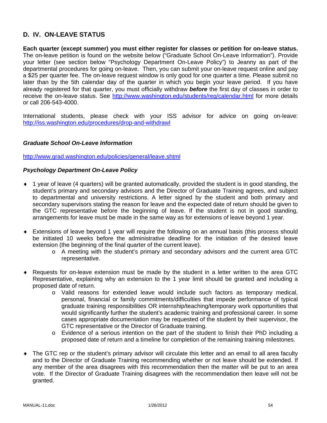# **D. IV. ON-LEAVE STATUS**

**Each quarter (except summer) you must either register for classes or petition for on-leave status.** The on-leave petition is found on the website below ("Graduate School On-Leave Information"). Provide your letter (see section below "Psychology Department On-Leave Policy") to Jeanny as part of the departmental procedures for going on-leave. Then, you can submit your on-leave request online and pay a \$25 per quarter fee. The on-leave request window is only good for one quarter a time. Please submit no later than by the 5th calendar day of the quarter in which you begin your leave period. If you have already registered for that quarter, you must officially withdraw *before* the first day of classes in order to receive the on-leave status. See http://www.washington.edu/students/reg/calendar.html for more details or call 206-543-4000.

International students, please check with your ISS advisor for advice on going on-leave: http://iss.washington.edu/procedures/drop-and-withdrawl

### *Graduate School On-Leave Information*

http://www.grad.washington.edu/policies/general/leave.shtml

#### *Psychology Department On-Leave Policy*

- ♦ 1 year of leave (4 quarters) will be granted automatically, provided the student is in good standing, the student's primary and secondary advisors and the Director of Graduate Training agrees, and subject to departmental and university restrictions. A letter signed by the student and both primary and secondary supervisors stating the reason for leave and the expected date of return should be given to the GTC representative before the beginning of leave. If the student is not in good standing, arrangements for leave must be made in the same way as for extensions of leave beyond 1 year.
- ♦ Extensions of leave beyond 1 year will require the following on an annual basis (this process should be initiated 10 weeks before the administrative deadline for the initiation of the desired leave extension (the beginning of the final quarter of the current leave).
	- o A meeting with the student's primary and secondary advisors and the current area GTC representative.
- ♦ Requests for on-leave extension must be made by the student in a letter written to the area GTC Representative, explaining why an extension to the 1 year limit should be granted and including a proposed date of return.
	- o Valid reasons for extended leave would include such factors as temporary medical, personal, financial or family commitments/difficulties that impede performance of typical graduate training responsibilities OR internship/teaching/temporary work opportunities that would significantly further the student's academic training and professional career. In some cases appropriate documentation may be requested of the student by their supervisor, the GTC representative or the Director of Graduate training.
	- o Evidence of a serious intention on the part of the student to finish their PhD including a proposed date of return and a timeline for completion of the remaining training milestones.
- ♦ The GTC rep or the student's primary advisor will circulate this letter and an email to all area faculty and to the Director of Graduate Training recommending whether or not leave should be extended. If any member of the area disagrees with this recommendation then the matter will be put to an area vote. If the Director of Graduate Training disagrees with the recommendation then leave will not be granted.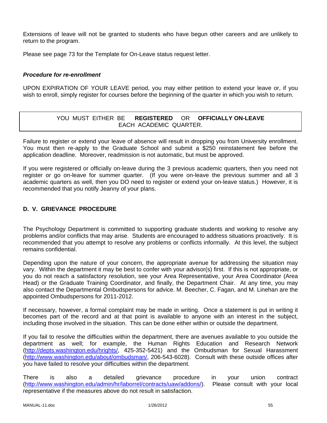Extensions of leave will not be granted to students who have begun other careers and are unlikely to return to the program.

Please see page 73 for the Template for On-Leave status request letter.

# *Procedure for re-enrollment*

UPON EXPIRATION OF YOUR LEAVE period, you may either petition to extend your leave or, if you wish to enroll, simply register for courses before the beginning of the quarter in which you wish to return.

# YOU MUST EITHER BE **REGISTERED** OR **OFFICIALLY ON-LEAVE** EACH ACADEMIC QUARTER.

Failure to register or extend your leave of absence will result in dropping you from University enrollment. You must then re-apply to the Graduate School and submit a \$250 reinstatement fee before the application deadline. Moreover, readmission is not automatic, but must be approved.

If you were registered or officially on-leave during the 3 previous academic quarters, then you need not register or go on-leave for summer quarter. (If you were on-leave the previous summer and all 3 academic quarters as well, then you DO need to register or extend your on-leave status.) However, it is recommended that you notify Jeanny of your plans.

# **D. V. GRIEVANCE PROCEDURE**

The Psychology Department is committed to supporting graduate students and working to resolve any problems and/or conflicts that may arise. Students are encouraged to address situations proactively. It is recommended that you attempt to resolve any problems or conflicts informally. At this level, the subject remains confidential.

Depending upon the nature of your concern, the appropriate avenue for addressing the situation may vary. Within the department it may be best to confer with your advisor(s) first. If this is not appropriate, or you do not reach a satisfactory resolution, see your Area Representative, your Area Coordinator (Area Head) or the Graduate Training Coordinator, and finally, the Department Chair. At any time, you may also contact the Departmental Ombudspersons for advice. M. Beecher, C. Fagan, and M. Linehan are the appointed Ombudspersons for 2011-2012.

If necessary, however, a formal complaint may be made in writing. Once a statement is put in writing it becomes part of the record and at that point is available to anyone with an interest in the subject, including those involved in the situation. This can be done either within or outside the department.

If you fail to resolve the difficulties within the department, there are avenues available to you outside the department as well; for example, the Human Rights Education and Research Network (http://depts.washington.edu/hrights/, 425-352-5421) and the Ombudsman for Sexual Harassment (http://www.washington.edu/about/ombudsman/, 206-543-6028). Consult with these outside offices after you have failed to resolve your difficulties within the department.

There is also a detailed grievance procedure in your union contract (http://www.washington.edu/admin/hr/laborrel/contracts/uaw/addons/). Please consult with your local representative if the measures above do not result in satisfaction.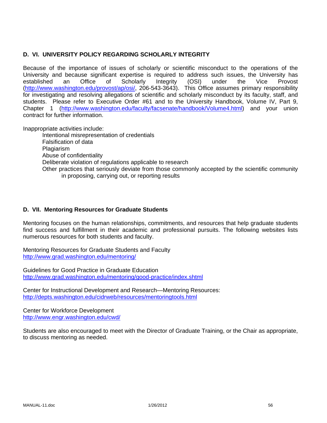## **D. VI. UNIVERSITY POLICY REGARDING SCHOLARLY INTEGRITY**

Because of the importance of issues of scholarly or scientific misconduct to the operations of the University and because significant expertise is required to address such issues, the University has established an Office of Scholarly Integrity (OSI) under the Vice Provost (http://www.washington.edu/provost/ap/osi/, 206-543-3643). This Office assumes primary responsibility for investigating and resolving allegations of scientific and scholarly misconduct by its faculty, staff, and students. Please refer to Executive Order #61 and to the University Handbook, Volume IV, Part 9, Chapter 1 (http://www.washington.edu/faculty/facsenate/handbook/Volume4.html) and your union contract for further information.

Inappropriate activities include:

Intentional misrepresentation of credentials Falsification of data Plagiarism Abuse of confidentiality Deliberate violation of regulations applicable to research Other practices that seriously deviate from those commonly accepted by the scientific community in proposing, carrying out, or reporting results

### **D. VII. Mentoring Resources for Graduate Students**

Mentoring focuses on the human relationships, commitments, and resources that help graduate students find success and fulfillment in their academic and professional pursuits. The following websites lists numerous resources for both students and faculty.

Mentoring Resources for Graduate Students and Faculty http://www.grad.washington.edu/mentoring/

Guidelines for Good Practice in Graduate Education http://www.grad.washington.edu/mentoring/good-practice/index.shtml

Center for Instructional Development and Research—Mentoring Resources: http://depts.washington.edu/cidrweb/resources/mentoringtools.html

Center for Workforce Development http://www.engr.washington.edu/cwd/

Students are also encouraged to meet with the Director of Graduate Training, or the Chair as appropriate, to discuss mentoring as needed.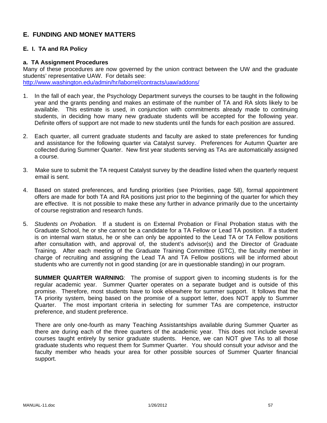# **E. FUNDING AND MONEY MATTERS**

## **E. I. TA and RA Policy**

#### **a. TA Assignment Procedures**

Many of these procedures are now governed by the union contract between the UW and the graduate students' representative UAW. For details see: http://www.washington.edu/admin/hr/laborrel/contracts/uaw/addons/

- 1. In the fall of each year, the Psychology Department surveys the courses to be taught in the following year and the grants pending and makes an estimate of the number of TA and RA slots likely to be available. This estimate is used, in conjunction with commitments already made to continuing students, in deciding how many new graduate students will be accepted for the following year. Definite offers of support are not made to new students until the funds for each position are assured.
- 2. Each quarter, all current graduate students and faculty are asked to state preferences for funding and assistance for the following quarter via Catalyst survey. Preferences for Autumn Quarter are collected during Summer Quarter. New first year students serving as TAs are automatically assigned a course.
- 3. Make sure to submit the TA request Catalyst survey by the deadline listed when the quarterly request email is sent.
- 4. Based on stated preferences, and funding priorities (see Priorities, page 58), formal appointment offers are made for both TA and RA positions just prior to the beginning of the quarter for which they are effective. It is not possible to make these any further in advance primarily due to the uncertainty of course registration and research funds.
- 5. *Students on Probation.* If a student is on External Probation or Final Probation status with the Graduate School, he or she cannot be a candidate for a TA Fellow or Lead TA position. If a student is on internal warn status, he or she can only be appointed to the Lead TA or TA Fellow positions after consultation with, and approval of, the student's advisor(s) and the Director of Graduate Training. After each meeting of the Graduate Training Committee (GTC), the faculty member in charge of recruiting and assigning the Lead TA and TA Fellow positions will be informed about students who are currently not in good standing (or are in questionable standing) in our program.

**SUMMER QUARTER WARNING**: The promise of support given to incoming students is for the regular academic year. Summer Quarter operates on a separate budget and is outside of this promise. Therefore, most students have to look elsewhere for summer support. It follows that the TA priority system, being based on the promise of a support letter, does NOT apply to Summer Quarter. The most important criteria in selecting for summer TAs are competence, instructor preference, and student preference.

There are only one-fourth as many Teaching Assistantships available during Summer Quarter as there are during each of the three quarters of the academic year. This does not include several courses taught entirely by senior graduate students. Hence, we can NOT give TAs to all those graduate students who request them for Summer Quarter. You should consult your advisor and the faculty member who heads your area for other possible sources of Summer Quarter financial support.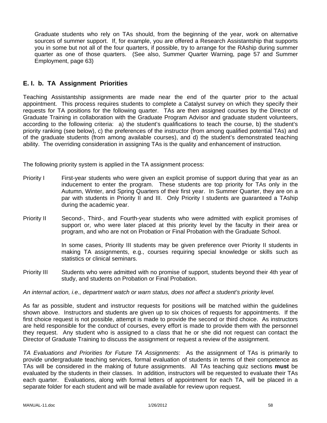Graduate students who rely on TAs should, from the beginning of the year, work on alternative sources of summer support. If, for example, you are offered a Research Assistantship that supports you in some but not all of the four quarters, if possible, try to arrange for the RAship during summer quarter as one of those quarters. (See also, Summer Quarter Warning, page 57 and Summer Employment, page 63)

# **E. I. b. TA Assignment Priorities**

Teaching Assistantship assignments are made near the end of the quarter prior to the actual appointment. This process requires students to complete a Catalyst survey on which they specify their requests for TA positions for the following quarter. TAs are then assigned courses by the Director of Graduate Training in collaboration with the Graduate Program Advisor and graduate student volunteers, according to the following criteria: a) the student's qualifications to teach the course, b) the student's priority ranking (see below), c) the preferences of the instructor (from among qualified potential TAs) and of the graduate students (from among available courses), and d) the student's demonstrated teaching ability. The overriding consideration in assigning TAs is the quality and enhancement of instruction.

The following priority system is applied in the TA assignment process:

- Priority I First-year students who were given an explicit promise of support during that year as an inducement to enter the program. These students are top priority for TAs only in the Autumn, Winter, and Spring Quarters of their first year. In Summer Quarter, they are on a par with students in Priority II and III. Only Priority I students are guaranteed a TAship during the academic year.
- Priority II Second-, Third-, and Fourth-year students who were admitted with explicit promises of support or, who were later placed at this priority level by the faculty in their area or program, and who are not on Probation or Final Probation with the Graduate School.

In some cases, Priority III students may be given preference over Priority II students in making TA assignments, e.g., courses requiring special knowledge or skills such as statistics or clinical seminars.

Priority III Students who were admitted with no promise of support, students beyond their 4th year of study, and students on Probation or Final Probation.

#### *An internal action, i.e., department watch or warn status, does not affect a student's priority level.*

As far as possible, student and instructor requests for positions will be matched within the guidelines shown above. Instructors and students are given up to six choices of requests for appointments. If the first choice request is not possible, attempt is made to provide the second or third choice. As instructors are held responsible for the conduct of courses, every effort is made to provide them with the personnel they request. Any student who is assigned to a class that he or she did not request can contact the Director of Graduate Training to discuss the assignment or request a review of the assignment.

*TA Evaluations and Priorities for Future TA Assignments*: As the assignment of TAs is primarily to provide undergraduate teaching services, formal evaluation of students in terms of their competence as TAs will be considered in the making of future assignments. All TAs teaching quiz sections **must** be evaluated by the students in their classes. In addition, instructors will be requested to evaluate their TAs each quarter. Evaluations, along with formal letters of appointment for each TA, will be placed in a separate folder for each student and will be made available for review upon request.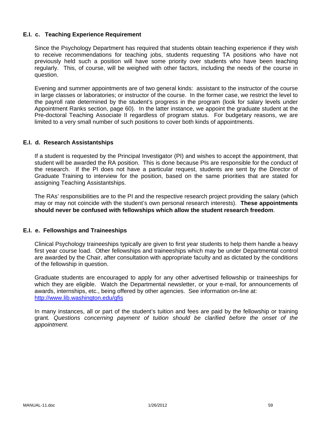### **E.I. c. Teaching Experience Requirement**

Since the Psychology Department has required that students obtain teaching experience if they wish to receive recommendations for teaching jobs, students requesting TA positions who have not previously held such a position will have some priority over students who have been teaching regularly. This, of course, will be weighed with other factors, including the needs of the course in question.

Evening and summer appointments are of two general kinds: assistant to the instructor of the course in large classes or laboratories; or instructor of the course. In the former case, we restrict the level to the payroll rate determined by the student's progress in the program (look for salary levels under Appointment Ranks section, page 60). In the latter instance, we appoint the graduate student at the Pre-doctoral Teaching Associate II regardless of program status. For budgetary reasons, we are limited to a very small number of such positions to cover both kinds of appointments.

### **E.I. d. Research Assistantships**

If a student is requested by the Principal Investigator (PI) and wishes to accept the appointment, that student will be awarded the RA position. This is done because PIs are responsible for the conduct of the research. If the PI does not have a particular request, students are sent by the Director of Graduate Training to interview for the position, based on the same priorities that are stated for assigning Teaching Assistantships.

The RAs' responsibilities are to the PI and the respective research project providing the salary (which may or may not coincide with the student's own personal research interests). **These appointments should never be confused with fellowships which allow the student research freedom**.

#### **E.I. e. Fellowships and Traineeships**

Clinical Psychology traineeships typically are given to first year students to help them handle a heavy first year course load. Other fellowships and traineeships which may be under Departmental control are awarded by the Chair, after consultation with appropriate faculty and as dictated by the conditions of the fellowship in question.

Graduate students are encouraged to apply for any other advertised fellowship or traineeships for which they are eligible. Watch the Departmental newsletter, or your e-mail, for announcements of awards, internships, etc., being offered by other agencies. See information on-line at: http://www.lib.washington.edu/gfis

In many instances, all or part of the student's tuition and fees are paid by the fellowship or training grant. *Questions concerning payment of tuition should be clarified before the onset of the appointment.*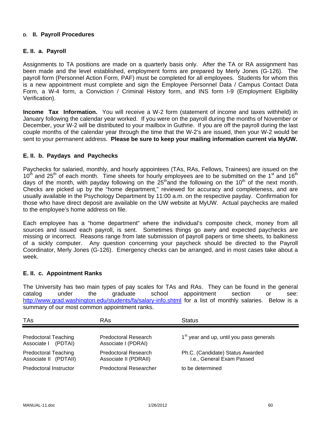### **D. II. Payroll Procedures**

### **E. II. a. Payroll**

Assignments to TA positions are made on a quarterly basis only. After the TA or RA assignment has been made and the level established, employment forms are prepared by Merly Jones (G-126). The payroll form (Personnel Action Form, PAF) must be completed for all employees. Students for whom this is a new appointment must complete and sign the Employee Personnel Data / Campus Contact Data Form, a W-4 form, a Conviction / Criminal History form, and INS form I-9 (Employment Eligibility Verification).

**Income Tax Information.** You will receive a W-2 form (statement of income and taxes withheld) in January following the calendar year worked. If you were on the payroll during the months of November or December, your W-2 will be distributed to your mailbox in Guthrie. If you are off the payroll during the last couple months of the calendar year through the time that the W-2's are issued, then your W-2 would be sent to your permanent address. **Please be sure to keep your mailing information current via MyUW.**

# **E. II. b. Paydays and Paychecks**

Paychecks for salaried, monthly, and hourly appointees (TAs, RAs, Fellows, Trainees) are issued on the  $10<sup>th</sup>$  and 25<sup>th</sup> of each month. Time sheets for hourly employees are to be submitted on the 1<sup>st</sup> and 16<sup>th</sup> days of the month, with payday following on the  $25<sup>th</sup>$  and the following on the 10<sup>th</sup> of the next month. Checks are picked up by the "home department," reviewed for accuracy and completeness, and are usually available in the Psychology Department by 11:00 a.m. on the respective payday. Confirmation for those who have direct deposit are available on the UW website at MyUW. Actual paychecks are mailed to the employee's home address on file.

Each employee has a "home department" where the individual's composite check, money from all sources and issued each payroll, is sent. Sometimes things go awry and expected paychecks are missing or incorrect. Reasons range from late submission of payroll papers or time sheets, to balkiness of a sickly computer. Any question concerning your paycheck should be directed to the Payroll Coordinator, Merly Jones (G-126). Emergency checks can be arranged, and in most cases take about a week.

#### **E. II. c. Appointment Ranks**

The University has two main types of pay scales for TAs and RAs. They can be found in the general catalog under the graduate school appointment section or see: http://www.grad.washington.edu/students/fa/salary-info.shtml for a list of monthly salaries. Below is a summary of our most common appointment ranks.

| TAs                                                  | RAs                                                  | <b>Status</b>                                                 |
|------------------------------------------------------|------------------------------------------------------|---------------------------------------------------------------|
| <b>Predoctoral Teaching</b><br>Associate I (PDTAI)   | <b>Predoctoral Research</b><br>Associate I (PDRAI)   | 1 <sup>st</sup> year and up, until you pass generals          |
| <b>Predoctoral Teaching</b><br>Associate II (PDTAII) | <b>Predoctoral Research</b><br>Associate II (PDRAII) | Ph.C. (Candidate) Status Awarded<br>i.e., General Exam Passed |
| Predoctoral Instructor                               | <b>Predoctoral Researcher</b>                        | to be determined                                              |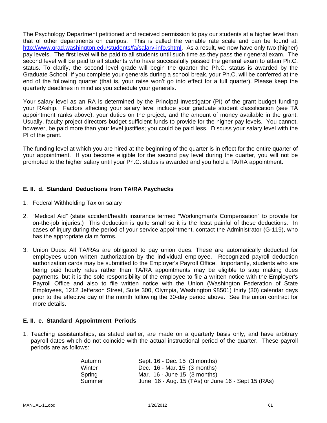The Psychology Department petitioned and received permission to pay our students at a higher level than that of other departments on campus. This is called the variable rate scale and can be found at: http://www.grad.washington.edu/students/fa/salary-info.shtml. As a result, we now have only two (higher) pay levels. The first level will be paid to all students until such time as they pass their general exam. The second level will be paid to all students who have successfully passed the general exam to attain Ph.C. status. To clarify, the second level grade will begin the quarter the Ph.C. status is awarded by the Graduate School. If you complete your generals during a school break, your Ph.C. will be conferred at the end of the following quarter (that is, your raise won't go into effect for a full quarter). Please keep the quarterly deadlines in mind as you schedule your generals.

Your salary level as an RA is determined by the Principal Investigator (PI) of the grant budget funding your RAship. Factors affecting your salary level include your graduate student classification (see TA appointment ranks above), your duties on the project, and the amount of money available in the grant. Usually, faculty project directors budget sufficient funds to provide for the higher pay levels. You cannot, however, be paid more than your level justifies; you could be paid less. Discuss your salary level with the PI of the grant.

The funding level at which you are hired at the beginning of the quarter is in effect for the entire quarter of your appointment. If you become eligible for the second pay level during the quarter, you will not be promoted to the higher salary until your Ph.C. status is awarded and you hold a TA/RA appointment.

# **E. II. d. Standard Deductions from TA/RA Paychecks**

- 1. Federal Withholding Tax on salary
- 2. "Medical Aid" (state accident/health insurance termed "Workingman's Compensation" to provide for on-the-job injuries.) This deduction is quite small so it is the least painful of these deductions. In cases of injury during the period of your service appointment, contact the Administrator (G-119), who has the appropriate claim forms.
- 3. Union Dues: All TA/RAs are obligated to pay union dues. These are automatically deducted for employees upon written authorization by the individual employee. Recognized payroll deduction authorization cards may be submitted to the Employer's Payroll Office. Importantly, students who are being paid hourly rates rather than TA/RA appointments may be eligible to stop making dues payments, but it is the sole responsibility of the employee to file a written notice with the Employer's Payroll Office and also to file written notice with the Union (Washington Federation of State Employees, 1212 Jefferson Street, Suite 300, Olympia, Washington 98501) thirty (30) calendar days prior to the effective day of the month following the 30-day period above. See the union contract for more details.

#### **E. II. e. Standard Appointment Periods**

1. Teaching assistantships, as stated earlier, are made on a quarterly basis only, and have arbitrary payroll dates which do not coincide with the actual instructional period of the quarter. These payroll periods are as follows:

| Autumn | Sept. 16 - Dec. 15 (3 months)                      |
|--------|----------------------------------------------------|
| Winter | Dec. 16 - Mar. 15 (3 months)                       |
| Spring | Mar. $16$ - June 15 $(3 \text{ months})$           |
| Summer | June 16 - Aug. 15 (TAs) or June 16 - Sept 15 (RAs) |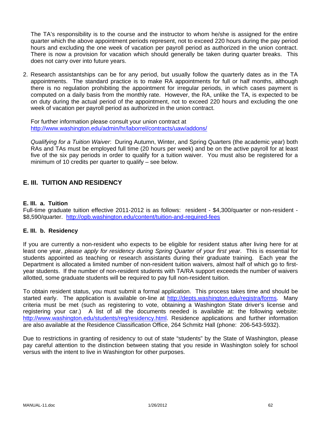The TA's responsibility is to the course and the instructor to whom he/she is assigned for the entire quarter which the above appointment periods represent, not to exceed 220 hours during the pay period hours and excluding the one week of vacation per payroll period as authorized in the union contract. There is now a provision for vacation which should generally be taken during quarter breaks. This does not carry over into future years.

2. Research assistantships can be for any period, but usually follow the quarterly dates as in the TA appointments. The standard practice is to make RA appointments for full or half months, although there is no regulation prohibiting the appointment for irregular periods, in which cases payment is computed on a daily basis from the monthly rate. However, the RA, unlike the TA, is expected to be on duty during the actual period of the appointment, not to exceed 220 hours and excluding the one week of vacation per payroll period as authorized in the union contract.

For further information please consult your union contract at http://www.washington.edu/admin/hr/laborrel/contracts/uaw/addons/

*Qualifying for a Tuition Waiver*: During Autumn, Winter, and Spring Quarters (the academic year) both RAs and TAs must be employed full time (20 hours per week) and be on the active payroll for at least five of the six pay periods in order to qualify for a tuition waiver. You must also be registered for a minimum of 10 credits per quarter to qualify – see below.

# **E. III. TUITION AND RESIDENCY**

#### **E. III. a. Tuition**

Full-time graduate tuition effective 2011-2012 is as follows: resident - \$4,300/quarter or non-resident - \$8,590/quarter. http://opb.washington.edu/content/tuition-and-required-fees

#### **E. III. b. Residency**

If you are currently a non-resident who expects to be eligible for resident status after living here for at least one year, *please apply for residency during Spring Quarter of your first year*. This is essential for students appointed as teaching or research assistants during their graduate training. Each year the Department is allocated a limited number of non-resident tuition waivers, almost half of which go to firstyear students. If the number of non-resident students with TA/RA support exceeds the number of waivers allotted, some graduate students will be required to pay full non-resident tuition.

To obtain resident status, you must submit a formal application. This process takes time and should be started early. The application is available on-line at http://depts.washington.edu/registra/forms. Many criteria must be met (such as registering to vote, obtaining a Washington State driver's license and registering your car.) A list of all the documents needed is available at: the following website: http://www.washington.edu/students/reg/residency.html. Residence applications and further information are also available at the Residence Classification Office, 264 Schmitz Hall (phone: 206-543-5932).

Due to restrictions in granting of residency to out of state "students" by the State of Washington, please pay careful attention to the distinction between stating that you reside in Washington solely for school versus with the intent to live in Washington for other purposes.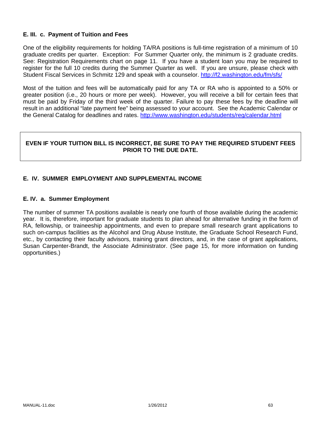### **E. III. c. Payment of Tuition and Fees**

One of the eligibility requirements for holding TA/RA positions is full-time registration of a minimum of 10 graduate credits per quarter. Exception: For Summer Quarter only, the minimum is 2 graduate credits. See: Registration Requirements chart on page 11. If you have a student loan you may be required to register for the full 10 credits during the Summer Quarter as well. If you are unsure, please check with Student Fiscal Services in Schmitz 129 and speak with a counselor. http://f2.washington.edu/fm/sfs/

Most of the tuition and fees will be automatically paid for any TA or RA who is appointed to a 50% or greater position (i.e., 20 hours or more per week). However, you will receive a bill for certain fees that must be paid by Friday of the third week of the quarter. Failure to pay these fees by the deadline will result in an additional "late payment fee" being assessed to your account. See the Academic Calendar or the General Catalog for deadlines and rates. http://www.washington.edu/students/reg/calendar.html

### **EVEN IF YOUR TUITION BILL IS INCORRECT, BE SURE TO PAY THE REQUIRED STUDENT FEES PRIOR TO THE DUE DATE.**

# **E. IV. SUMMER EMPLOYMENT AND SUPPLEMENTAL INCOME**

#### **E. IV. a. Summer Employment**

The number of summer TA positions available is nearly one fourth of those available during the academic year. It is, therefore, important for graduate students to plan ahead for alternative funding in the form of RA, fellowship, or traineeship appointments, and even to prepare small research grant applications to such on-campus facilities as the Alcohol and Drug Abuse Institute, the Graduate School Research Fund, etc., by contacting their faculty advisors, training grant directors, and, in the case of grant applications, Susan Carpenter-Brandt, the Associate Administrator. (See page 15, for more information on funding opportunities.)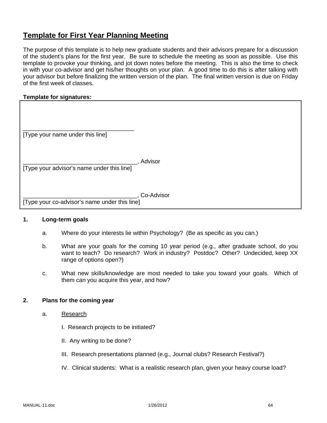# **Template for First Year Planning Meeting**

The purpose of this template is to help new graduate students and their advisors prepare for a discussion of the student's plans for the first year. Be sure to schedule the meeting as soon as possible. Use this template to provoke your thinking, and jot down notes before the meeting. This is also the time to check in with your co-advisor and get his/her thoughts on your plan. A good time to do this is after talking with your advisor but before finalizing the written version of the plan. The final written version is due on Friday of the first week of classes.

### **Template for signatures:**

| [Type your name under this line]              |            |
|-----------------------------------------------|------------|
| [Type your advisor's name under this line]    | Advisor    |
| [Type your co-advisor's name under this line] | Co-Advisor |

## **1. Long-term goals**

- a. Where do your interests lie within Psychology? (Be as specific as you can.)
- b. What are your goals for the coming 10 year period (e.g., after graduate school, do you want to teach? Do research? Work in industry? Postdoc? Other? Undecided, keep XX range of options open?)
- c. What new skills/knowledge are most needed to take you toward your goals. Which of them can you acquire this year, and how?

#### **2. Plans for the coming year**

- a. Research
	- I. Research projects to be initiated?
	- II. Any writing to be done?
	- III. Research presentations planned (e.g., Journal clubs? Research Festival?)
	- IV. Clinical students: What is a realistic research plan, given your heavy course load?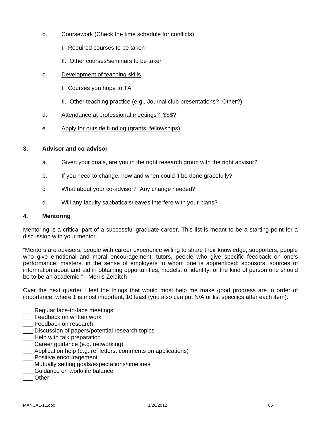- b. Coursework (Check the time schedule for conflicts)
	- I. Required courses to be taken
	- II. Other courses/seminars to be taken
- c. Development of teaching skills
	- I. Courses you hope to TA
	- II. Other teaching practice (e.g., Journal club presentations? Other?)
- d. Attendance at professional meetings? \$\$\$?
- e. Apply for outside funding (grants, fellowships)

### **3. Advisor and co-advisor**

- a. Given your goals, are you in the right research group with the right advisor?
- b. If you need to change, how and when could it be done gracefully?
- c. What about your co-advisor? Any change needed?
- d. Will any faculty sabbaticals/leaves interfere with your plans?

#### **4. Mentoring**

Mentoring is a critical part of a successful graduate career. This list is meant to be a starting point for a discussion with your mentor.

"Mentors are advisers, people with career experience willing to share their knowledge; supporters, people who give emotional and moral encouragement; tutors, people who give specific feedback on one's performance; masters, in the sense of employers to whom one is apprenticed; sponsors, sources of information about and aid in obtaining opportunities; models, of identity, of the kind of person one should be to be an academic." --Morris Zelditch

Over the next quarter I feel the things that would most help me make good progress are in order of importance, where 1 is most important, 10 least (you also can put N/A or list specifics after each item):

- \_\_\_ Regular face-to-face meetings
- \_\_\_ Feedback on written work
- **\_\_\_** Feedback on research
- \_\_\_ Discussion of papers/potential research topics
- \_\_\_ Help with talk preparation
- \_\_\_ Career guidance (e.g. networking)
- \_\_\_ Application help (e.g. ref letters, comments on applications)
- \_\_\_ Positive encouragement
- \_\_\_ Mutually setting goals/expectations/timelines
- Guidance on work/life balance
- \_\_\_ Other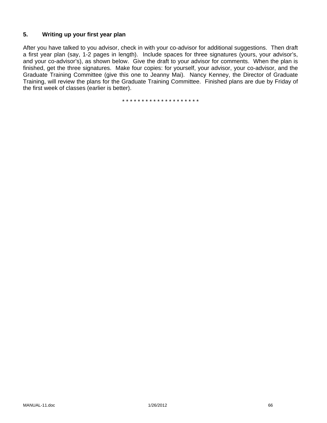### **5. Writing up your first year plan**

After you have talked to you advisor, check in with your co-advisor for additional suggestions. Then draft a first year plan (say, 1-2 pages in length). Include spaces for three signatures (yours, your advisor's, and your co-advisor's), as shown below. Give the draft to your advisor for comments. When the plan is finished, get the three signatures. Make four copies: for yourself, your advisor, your co-advisor, and the Graduate Training Committee (give this one to Jeanny Mai). Nancy Kenney, the Director of Graduate Training, will review the plans for the Graduate Training Committee. Finished plans are due by Friday of the first week of classes (earlier is better).

\* \* \* \* \* \* \* \* \* \* \* \* \* \* \* \* \* \* \* \*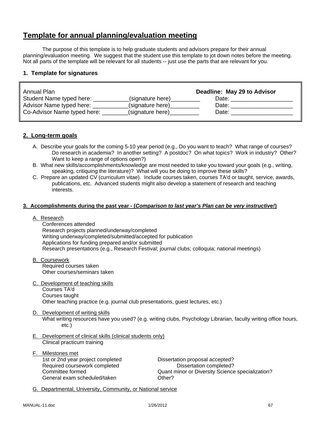# **Template for annual planning/evaluation meeting**

The purpose of this template is to help graduate students and advisors prepare for their annual planning/evaluation meeting. We suggest that the student use this template to jot down notes before the meeting. Not all parts of the template will be relevant for all students -- just use the parts that are relevant for you.

### **1. Template for signatures**

| Annual Plan                 |                  | Deadline: May 29 to Advisor |
|-----------------------------|------------------|-----------------------------|
| Student Name typed here:    | (signature here) | Date:                       |
| Advisor Name typed here:    | (signature here) | Date:                       |
| Co-Advisor Name typed here: | (signature here) | Date:                       |

#### **2. Long-term goals**

- A. Describe your goals for the coming 5-10 year period (e.g., Do you want to teach? What range of courses? Do research in academia? In another setting? A postdoc? On what topics? Work in industry? Other? Want to keep a range of options open?)
- B. What new skills/accomplishments/knowledge are most needed to take you toward your goals (e.g., writing, speaking, critiquing the literature)? What will you be doing to improve these skills?
- C. Prepare an updated CV (curriculum vitae). Include courses taken, courses TA'd or taught, service, awards, publications, etc. Advanced students might also develop a statement of research and teaching interests.

#### **3. Accomplishments during the past year - (***Comparison to last year's Plan can be very instructive!***)**

A. Research

 Conferences attended Research projects planned/underway/completed Writing underway/completed/submitted/accepted for publication Applications for funding prepared and/or submitted Research presentations (e.g., Research Festival; journal clubs; colloquia; national meetings)

- B. Coursework Required courses taken Other courses/seminars taken
- C. Development of teaching skills

 Courses TA'd Courses taught Other teaching practice (e.g. journal club presentations, guest lectures, etc.)

# D. Development of writing skills

What writing resources have you used? (e.g. writing clubs, Psychology Librarian, faculty writing office hours, etc.)

- E. Development of clinical skills (clinical students only) Clinical practicum training
- F. Milestones met 1st or 2nd year project completed Dissertation proposal accepted? Required coursework completed Dissertation completed? General exam scheduled/taken **CHACCOUNGER** Other?

Committee formed Quant minor or Diversity Science specialization?

G. Departmental, University, Community, or National service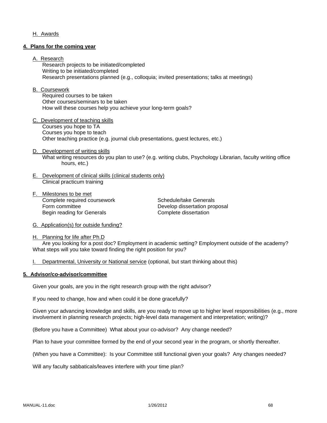#### H. Awards

#### **4. Plans for the coming year**

#### A. Research

 Research projects to be initiated/completed Writing to be initiated/completed Research presentations planned (e.g., colloquia; invited presentations; talks at meetings)

#### B. Coursework

 Required courses to be taken Other courses/seminars to be taken How will these courses help you achieve your long-term goals?

- C. Development of teaching skills Courses you hope to TA Courses you hope to teach Other teaching practice (e.g. journal club presentations, guest lectures, etc.)
- D. Development of writing skills What writing resources do you plan to use? (e.g. writing clubs, Psychology Librarian, faculty writing office hours, etc.)
- E. Development of clinical skills (clinical students only) Clinical practicum training
- F. Milestones to be met Complete required coursework Schedule/take Generals Form committee **Develop** dissertation proposal Begin reading for Generals **Complete** dissertation

G. Application(s) for outside funding?

H. Planning for life after Ph.D Are you looking for a post doc? Employment in academic setting? Employment outside of the academy? What steps will you take toward finding the right position for you?

I. Departmental, University or National service (optional, but start thinking about this)

#### **5. Advisor/co-advisor/committee**

Given your goals, are you in the right research group with the right advisor?

If you need to change, how and when could it be done gracefully?

Given your advancing knowledge and skills, are you ready to move up to higher level responsibilities (e.g., more involvement in planning research projects; high-level data management and interpretation; writing)?

(Before you have a Committee) What about your co-advisor? Any change needed?

Plan to have your committee formed by the end of your second year in the program, or shortly thereafter.

(When you have a Committee): Is your Committee still functional given your goals? Any changes needed?

Will any faculty sabbaticals/leaves interfere with your time plan?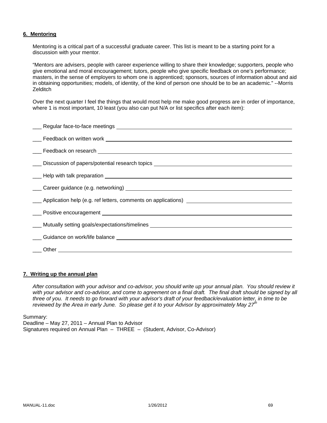#### **6. Mentoring**

Mentoring is a critical part of a successful graduate career. This list is meant to be a starting point for a discussion with your mentor.

"Mentors are advisers, people with career experience willing to share their knowledge; supporters, people who give emotional and moral encouragement; tutors, people who give specific feedback on one's performance; masters, in the sense of employers to whom one is apprenticed; sponsors, sources of information about and aid in obtaining opportunities; models, of identity, of the kind of person one should be to be an academic." --Morris **Zelditch** 

Over the next quarter I feel the things that would most help me make good progress are in order of importance, where 1 is most important, 10 least (you also can put N/A or list specifics after each item):

| ___ Discussion of papers/potential research topics _____________________________ |
|----------------------------------------------------------------------------------|
|                                                                                  |
|                                                                                  |
| Application help (e.g. ref letters, comments on applications)                    |
|                                                                                  |
| ____ Mutually setting goals/expectations/timelines                               |
|                                                                                  |
|                                                                                  |
|                                                                                  |

#### **7. Writing up the annual plan**

*After consultation with your advisor and co-advisor, you should write up your annual plan. You should review it*  with your advisor and co-advisor, and come to agreement on a final draft. The final draft should be signed by all *three of you. It needs to go forward with your advisor's draft of your feedback/evaluation letter, in time to be reviewed by the Area in early June. So please get it to your Advisor by approximately May 27th* 

Summary:

Deadline – May 27, 2011 – Annual Plan to Advisor Signatures required on Annual Plan – THREE – (Student, Advisor, Co-Advisor)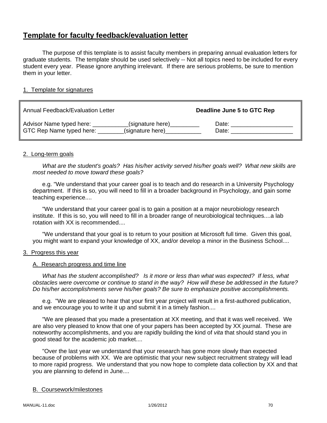# **Template for faculty feedback/evaluation letter**

 The purpose of this template is to assist faculty members in preparing annual evaluation letters for graduate students. The template should be used selectively -- Not all topics need to be included for every student every year. Please ignore anything irrelevant. If there are serious problems, be sure to mention them in your letter.

### 1. Template for signatures

| Annual Feedback/Evaluation Letter |                  | Deadline June 5 to GTC Rep |
|-----------------------------------|------------------|----------------------------|
| Advisor Name typed here:          | (signature here) | Date:                      |
| GTC Rep Name typed here:          | (signature here) | Date:                      |

#### 2. Long-term goals

 *What are the student's goals? Has his/her activity served his/her goals well? What new skills are most needed to move toward these goals?*

e.g. "We understand that your career goal is to teach and do research in a University Psychology department. If this is so, you will need to fill in a broader background in Psychology, and gain some teaching experience....

 "We understand that your career goal is to gain a position at a major neurobiology research institute. If this is so, you will need to fill in a broader range of neurobiological techniques....a lab rotation with XX is recommended....

 "We understand that your goal is to return to your position at Microsoft full time. Given this goal, you might want to expand your knowledge of XX, and/or develop a minor in the Business School....

#### 3. Progress this year

#### A. Research progress and time line

 *What has the student accomplished? Is it more or less than what was expected? If less, what obstacles were overcome or continue to stand in the way? How will these be addressed in the future? Do his/her accomplishments serve his/her goals? Be sure to emphasize positive accomplishments.*

 e.g. "We are pleased to hear that your first year project will result in a first-authored publication, and we encourage you to write it up and submit it in a timely fashion....

 "We are pleased that you made a presentation at XX meeting, and that it was well received. We are also very pleased to know that one of your papers has been accepted by XX journal. These are noteworthy accomplishments, and you are rapidly building the kind of *vita* that should stand you in good stead for the academic job market....

 "Over the last year we understand that your research has gone more slowly than expected because of problems with XX. We are optimistic that your new subject recruitment strategy will lead to more rapid progress. We understand that you now hope to complete data collection by XX and that you are planning to defend in June....

#### B. Coursework/milestones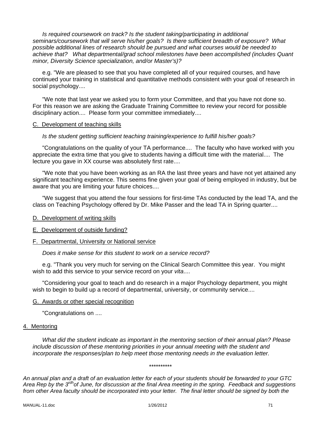*Is required coursework on track? Is the student taking/participating in additional seminars/coursework that will serve his/her goals? Is there sufficient breadth of exposure? What possible additional lines of research should be pursued and what courses would be needed to achieve that? What departmental/grad school milestones have been accomplished (includes Quant minor, Diversity Science specialization, and/or Master's)?*

 e.g. "We are pleased to see that you have completed all of your required courses, and have continued your training in statistical and quantitative methods consistent with your goal of research in social psychology....

 "We note that last year we asked you to form your Committee, and that you have not done so. For this reason we are asking the Graduate Training Committee to review your record for possible disciplinary action.... Please form your committee immediately....

#### C. Development of teaching skills

#### *Is the student getting sufficient teaching training/experience to fulfill his/her goals?*

 "Congratulations on the quality of your TA performance.... The faculty who have worked with you appreciate the extra time that you give to students having a difficult time with the material.... The lecture you gave in XX course was absolutely first rate....

 "We note that you have been working as an RA the last three years and have not yet attained any significant teaching experience. This seems fine given your goal of being employed in industry, but be aware that you are limiting your future choices....

 "We suggest that you attend the four sessions for first-time TAs conducted by the lead TA, and the class on Teaching Psychology offered by Dr. Mike Passer and the lead TA in Spring quarter....

#### D. Development of writing skills

#### E. Development of outside funding?

#### F. Departmental, University or National service

 *Does it make sense for this student to work on a service record?*

 e.g. "Thank you very much for serving on the Clinical Search Committee this year. You might wish to add this service to your service record on your *vita*....

 "Considering your goal to teach and do research in a major Psychology department, you might wish to begin to build up a record of departmental, university, or community service....

#### G. Awards or other special recognition

"Congratulations on ....

#### 4. Mentoring

*What did the student indicate as important in the mentoring section of their annual plan? Please include discussion of these mentoring priorities in your annual meeting with the student and incorporate the responses/plan to help meet those mentoring needs in the evaluation letter.* 

\*\*\*\*\*\*\*\*\*\*

*An annual plan and a draft of an evaluation letter for each of your students should be forwarded to your GTC Area Rep by the 3rdhof June, for discussion at the final Area meeting in the spring. Feedback and suggestions from other Area faculty should be incorporated into your letter. The final letter should be signed by both the*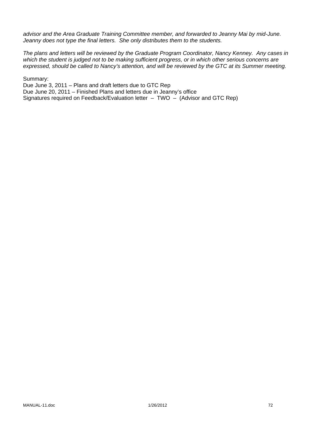*advisor and the Area Graduate Training Committee member, and forwarded to Jeanny Mai by mid-June. Jeanny does not type the final letters. She only distributes them to the students.* 

*The plans and letters will be reviewed by the Graduate Program Coordinator, Nancy Kenney. Any cases in which the student is judged not to be making sufficient progress, or in which other serious concerns are expressed, should be called to Nancy's attention, and will be reviewed by the GTC at its Summer meeting.* 

Summary:

Due June 3, 2011 – Plans and draft letters due to GTC Rep Due June 20, 2011 – Finished Plans and letters due in Jeanny's office Signatures required on Feedback/Evaluation letter – TWO – (Advisor and GTC Rep)